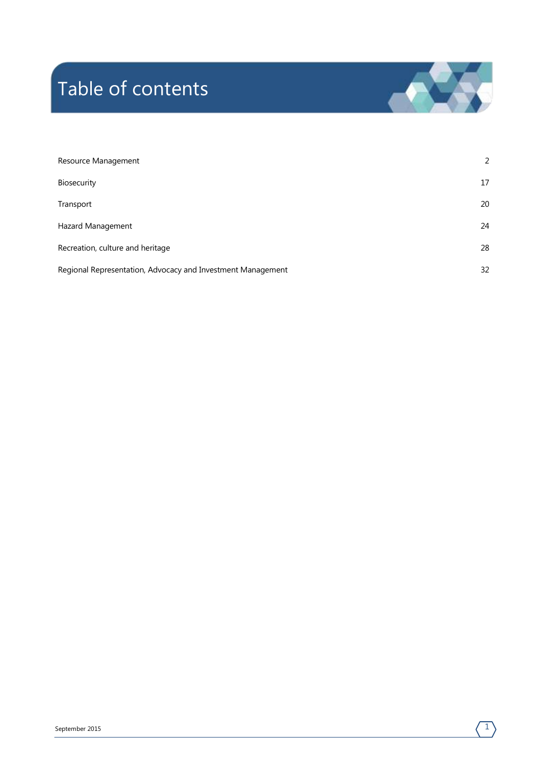# Table of contents



| Resource Management                                         | 2  |
|-------------------------------------------------------------|----|
| Biosecurity                                                 | 17 |
| Transport                                                   | 20 |
| Hazard Management                                           | 24 |
| Recreation, culture and heritage                            | 28 |
| Regional Representation, Advocacy and Investment Management | 32 |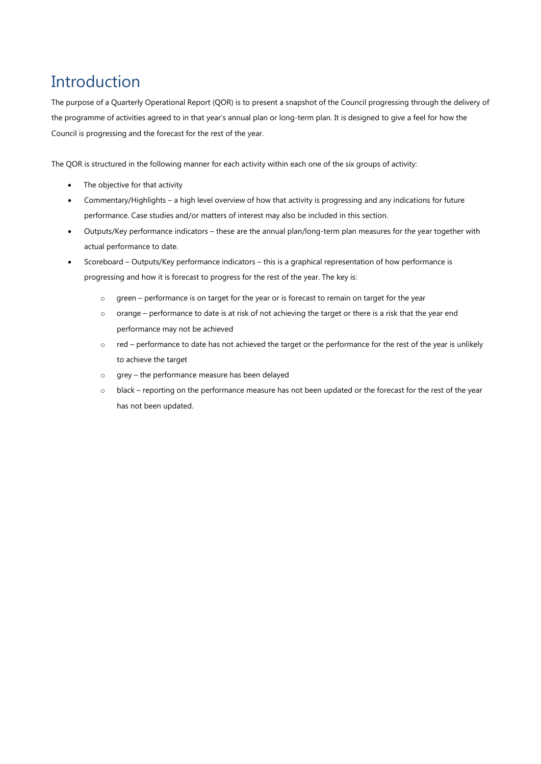# Introduction

The purpose of a Quarterly Operational Report (QOR) is to present a snapshot of the Council progressing through the delivery of the programme of activities agreed to in that year's annual plan or long-term plan. It is designed to give a feel for how the Council is progressing and the forecast for the rest of the year.

The QOR is structured in the following manner for each activity within each one of the six groups of activity:

- The objective for that activity
- Commentary/Highlights a high level overview of how that activity is progressing and any indications for future performance. Case studies and/or matters of interest may also be included in this section.
- Outputs/Key performance indicators these are the annual plan/long-term plan measures for the year together with actual performance to date.
- Scoreboard Outputs/Key performance indicators this is a graphical representation of how performance is progressing and how it is forecast to progress for the rest of the year. The key is:
	- o green performance is on target for the year or is forecast to remain on target for the year
	- o orange performance to date is at risk of not achieving the target or there is a risk that the year end performance may not be achieved
	- o red performance to date has not achieved the target or the performance for the rest of the year is unlikely to achieve the target
	- o grey the performance measure has been delayed
	- o black reporting on the performance measure has not been updated or the forecast for the rest of the year has not been updated.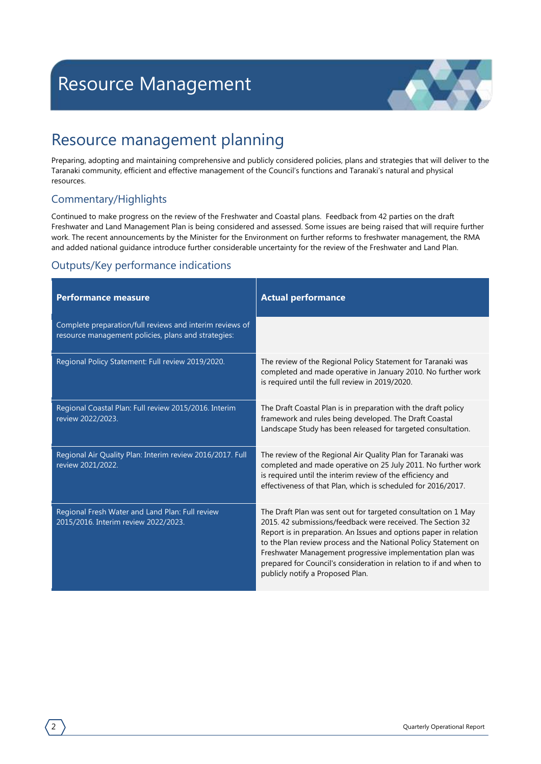

### <span id="page-3-0"></span>Resource management planning

Preparing, adopting and maintaining comprehensive and publicly considered policies, plans and strategies that will deliver to the Taranaki community, efficient and effective management of the Council's functions and Taranaki's natural and physical resources.

#### Commentary/Highlights

Continued to make progress on the review of the Freshwater and Coastal plans. Feedback from 42 parties on the draft Freshwater and Land Management Plan is being considered and assessed. Some issues are being raised that will require further work. The recent announcements by the Minister for the Environment on further reforms to freshwater management, the RMA and added national guidance introduce further considerable uncertainty for the review of the Freshwater and Land Plan.

| <b>Performance measure</b>                                                                                      | <b>Actual performance</b>                                                                                                                                                                                                                                                                                                                                                                                                                    |
|-----------------------------------------------------------------------------------------------------------------|----------------------------------------------------------------------------------------------------------------------------------------------------------------------------------------------------------------------------------------------------------------------------------------------------------------------------------------------------------------------------------------------------------------------------------------------|
| Complete preparation/full reviews and interim reviews of<br>resource management policies, plans and strategies: |                                                                                                                                                                                                                                                                                                                                                                                                                                              |
| Regional Policy Statement: Full review 2019/2020.                                                               | The review of the Regional Policy Statement for Taranaki was<br>completed and made operative in January 2010. No further work<br>is required until the full review in 2019/2020.                                                                                                                                                                                                                                                             |
| Regional Coastal Plan: Full review 2015/2016. Interim<br>review 2022/2023.                                      | The Draft Coastal Plan is in preparation with the draft policy<br>framework and rules being developed. The Draft Coastal<br>Landscape Study has been released for targeted consultation.                                                                                                                                                                                                                                                     |
| Regional Air Quality Plan: Interim review 2016/2017. Full<br>review 2021/2022.                                  | The review of the Regional Air Quality Plan for Taranaki was<br>completed and made operative on 25 July 2011. No further work<br>is required until the interim review of the efficiency and<br>effectiveness of that Plan, which is scheduled for 2016/2017.                                                                                                                                                                                 |
| Regional Fresh Water and Land Plan: Full review<br>2015/2016. Interim review 2022/2023.                         | The Draft Plan was sent out for targeted consultation on 1 May<br>2015. 42 submissions/feedback were received. The Section 32<br>Report is in preparation. An Issues and options paper in relation<br>to the Plan review process and the National Policy Statement on<br>Freshwater Management progressive implementation plan was<br>prepared for Council's consideration in relation to if and when to<br>publicly notify a Proposed Plan. |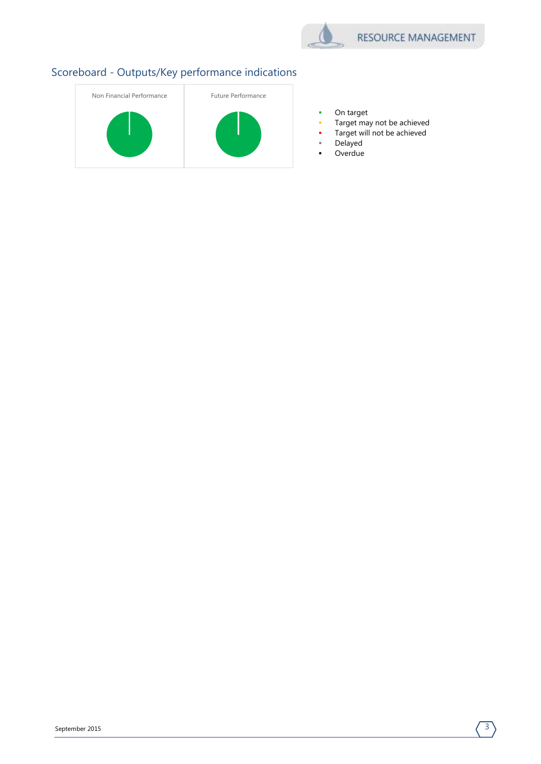

- **•** On target
- Target may not be achieved
- Target will not be achieved
- Delayed
- **Overdue**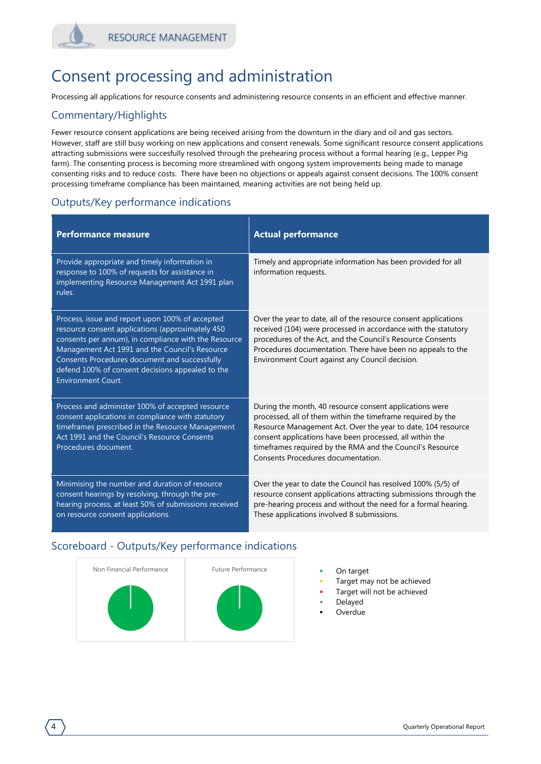### Consent processing and administration

Processing all applications for resource consents and administering resource consents in an efficient and effective manner.

#### Commentary/Highlights

Fewer resource consent applications are being received arising from the downturn in the diary and oil and gas sectors. However, staff are still busy working on new applications and consent renewals. Some significant resource consent applications attracting submissions were succesfully resolved through the prehearing process without a formal hearing (e.g., Lepper Pig farm). The consenting process is becoming more streamlined with ongong system improvements being made to manage consenting risks and to reduce costs. There have been no objections or appeals against consent decisions. The 100% consent processing timeframe compliance has been maintained, meaning activities are not being held up.

#### Outputs/Key performance indications

| <b>Performance measure</b>                                                                                                                                                                                                                                                                                                                      | <b>Actual performance</b>                                                                                                                                                                                                                                                                                                                             |
|-------------------------------------------------------------------------------------------------------------------------------------------------------------------------------------------------------------------------------------------------------------------------------------------------------------------------------------------------|-------------------------------------------------------------------------------------------------------------------------------------------------------------------------------------------------------------------------------------------------------------------------------------------------------------------------------------------------------|
| Provide appropriate and timely information in<br>response to 100% of requests for assistance in<br>implementing Resource Management Act 1991 plan<br>rules.                                                                                                                                                                                     | Timely and appropriate information has been provided for all<br>information requests.                                                                                                                                                                                                                                                                 |
| Process, issue and report upon 100% of accepted<br>resource consent applications (approximately 450<br>consents per annum), in compliance with the Resource<br>Management Act 1991 and the Council's Resource<br>Consents Procedures document and successfully<br>defend 100% of consent decisions appealed to the<br><b>Environment Court.</b> | Over the year to date, all of the resource consent applications<br>received (104) were processed in accordance with the statutory<br>procedures of the Act, and the Council's Resource Consents<br>Procedures documentation. There have been no appeals to the<br>Environment Court against any Council decision.                                     |
| Process and administer 100% of accepted resource<br>consent applications in compliance with statutory<br>timeframes prescribed in the Resource Management<br>Act 1991 and the Council's Resource Consents<br>Procedures document.                                                                                                               | During the month, 40 resource consent applications were<br>processed, all of them within the timeframe required by the<br>Resource Management Act. Over the year to date, 104 resource<br>consent applications have been processed, all within the<br>timeframes required by the RMA and the Council's Resource<br>Consents Procedures documentation. |
| Minimising the number and duration of resource<br>consent hearings by resolving, through the pre-<br>hearing process, at least 50% of submissions received<br>on resource consent applications.                                                                                                                                                 | Over the year to date the Council has resolved 100% (5/5) of<br>resource consent applications attracting submissions through the<br>pre-hearing process and without the need for a formal hearing.<br>These applications involved 8 submissions.                                                                                                      |



- 
- Target may not be achieved
- Target will not be achieved
- Delayed
- Overdue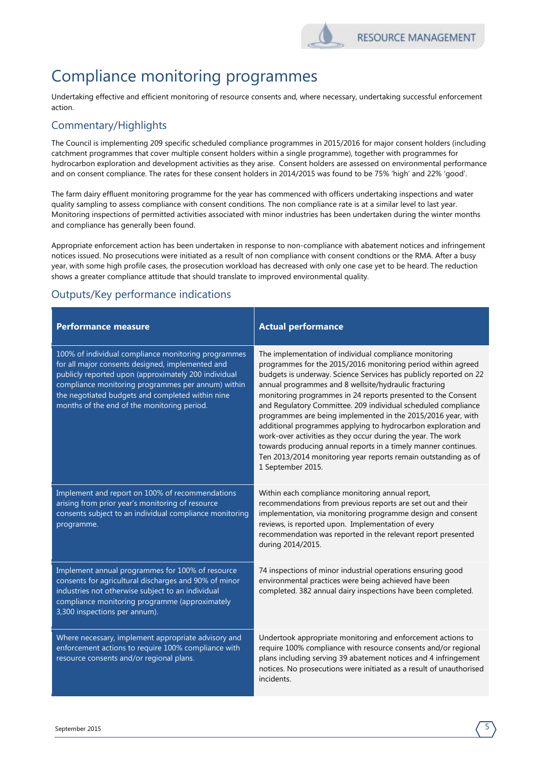

### Compliance monitoring programmes

Undertaking effective and efficient monitoring of resource consents and, where necessary, undertaking successful enforcement action.

#### Commentary/Highlights

The Council is implementing 209 specific scheduled compliance programmes in 2015/2016 for major consent holders (including catchment programmes that cover multiple consent holders within a single programme), together with programmes for hydrocarbon exploration and development activities as they arise. Consent holders are assessed on environmental performance and on consent compliance. The rates for these consent holders in 2014/2015 was found to be 75% 'high' and 22% 'good'.

The farm dairy effluent monitoring programme for the year has commenced with officers undertaking inspections and water quality sampling to assess compliance with consent conditions. The non compliance rate is at a similar level to last year. Monitoring inspections of permitted activities associated with minor industries has been undertaken during the winter months and compliance has generally been found.

Appropriate enforcement action has been undertaken in response to non-compliance with abatement notices and infringement notices issued. No prosecutions were initiated as a result of non compliance with consent condtions or the RMA. After a busy year, with some high profile cases, the prosecution workload has decreased with only one case yet to be heard. The reduction shows a greater compliance attitude that should translate to improved environmental quality.

| <b>Performance measure</b>                                                                                                                                                                                                                                                                                               | <b>Actual performance</b>                                                                                                                                                                                                                                                                                                                                                                                                                                                                                                                                                                                                                                                                                                                       |
|--------------------------------------------------------------------------------------------------------------------------------------------------------------------------------------------------------------------------------------------------------------------------------------------------------------------------|-------------------------------------------------------------------------------------------------------------------------------------------------------------------------------------------------------------------------------------------------------------------------------------------------------------------------------------------------------------------------------------------------------------------------------------------------------------------------------------------------------------------------------------------------------------------------------------------------------------------------------------------------------------------------------------------------------------------------------------------------|
| 100% of individual compliance monitoring programmes<br>for all major consents designed, implemented and<br>publicly reported upon (approximately 200 individual<br>compliance monitoring programmes per annum) within<br>the negotiated budgets and completed within nine<br>months of the end of the monitoring period. | The implementation of individual compliance monitoring<br>programmes for the 2015/2016 monitoring period within agreed<br>budgets is underway. Science Services has publicly reported on 22<br>annual programmes and 8 wellsite/hydraulic fracturing<br>monitoring programmes in 24 reports presented to the Consent<br>and Regulatory Committee. 209 individual scheduled compliance<br>programmes are being implemented in the 2015/2016 year, with<br>additional programmes applying to hydrocarbon exploration and<br>work-over activities as they occur during the year. The work<br>towards producing annual reports in a timely manner continues.<br>Ten 2013/2014 monitoring year reports remain outstanding as of<br>1 September 2015. |
| Implement and report on 100% of recommendations<br>arising from prior year's monitoring of resource<br>consents subject to an individual compliance monitoring<br>programme.                                                                                                                                             | Within each compliance monitoring annual report,<br>recommendations from previous reports are set out and their<br>implementation, via monitoring programme design and consent<br>reviews, is reported upon. Implementation of every<br>recommendation was reported in the relevant report presented<br>during 2014/2015.                                                                                                                                                                                                                                                                                                                                                                                                                       |
| Implement annual programmes for 100% of resource<br>consents for agricultural discharges and 90% of minor<br>industries not otherwise subject to an individual<br>compliance monitoring programme (approximately<br>3,300 inspections per annum).                                                                        | 74 inspections of minor industrial operations ensuring good<br>environmental practices were being achieved have been<br>completed. 382 annual dairy inspections have been completed.                                                                                                                                                                                                                                                                                                                                                                                                                                                                                                                                                            |
| Where necessary, implement appropriate advisory and<br>enforcement actions to require 100% compliance with<br>resource consents and/or regional plans.                                                                                                                                                                   | Undertook appropriate monitoring and enforcement actions to<br>require 100% compliance with resource consents and/or regional<br>plans including serving 39 abatement notices and 4 infringement<br>notices. No prosecutions were initiated as a result of unauthorised<br>incidents.                                                                                                                                                                                                                                                                                                                                                                                                                                                           |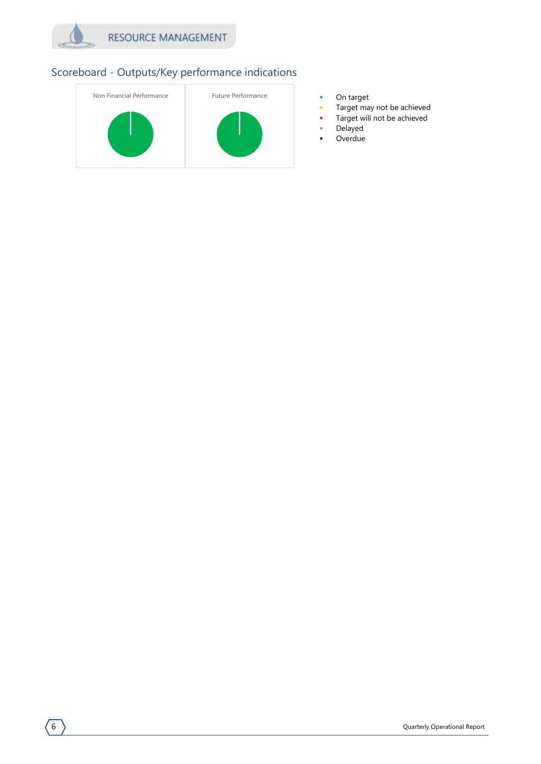



- 
- Target may not be achieved
- Target will not be achieved
- Delayed
- **-** Overdue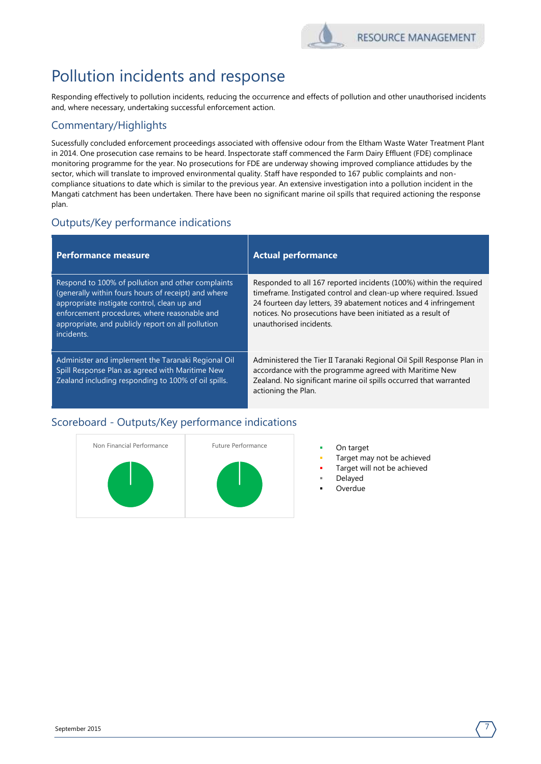

# Pollution incidents and response

Responding effectively to pollution incidents, reducing the occurrence and effects of pollution and other unauthorised incidents and, where necessary, undertaking successful enforcement action.

#### Commentary/Highlights

Sucessfully concluded enforcement proceedings associated with offensive odour from the Eltham Waste Water Treatment Plant in 2014. One prosecution case remains to be heard. Inspectorate staff commenced the Farm Dairy Effluent (FDE) complinace monitoring programme for the year. No prosecutions for FDE are underway showing improved compliance attidudes by the sector, which will translate to improved environmental quality. Staff have responded to 167 public complaints and noncompliance situations to date which is similar to the previous year. An extensive investigation into a pollution incident in the Mangati catchment has been undertaken. There have been no significant marine oil spills that required actioning the response plan.

#### Outputs/Key performance indications

| <b>Performance measure</b>                                                                                                                                                                                                                                                 | <b>Actual performance</b>                                                                                                                                                                                                                                                                             |
|----------------------------------------------------------------------------------------------------------------------------------------------------------------------------------------------------------------------------------------------------------------------------|-------------------------------------------------------------------------------------------------------------------------------------------------------------------------------------------------------------------------------------------------------------------------------------------------------|
| Respond to 100% of pollution and other complaints<br>(generally within fours hours of receipt) and where<br>appropriate instigate control, clean up and<br>enforcement procedures, where reasonable and<br>appropriate, and publicly report on all pollution<br>incidents. | Responded to all 167 reported incidents (100%) within the required<br>timeframe. Instigated control and clean-up where required. Issued<br>24 fourteen day letters, 39 abatement notices and 4 infringement<br>notices. No prosecutions have been initiated as a result of<br>unauthorised incidents. |
| Administer and implement the Taranaki Regional Oil<br>Spill Response Plan as agreed with Maritime New<br>Zealand including responding to 100% of oil spills.                                                                                                               | Administered the Tier II Taranaki Regional Oil Spill Response Plan in<br>accordance with the programme agreed with Maritime New<br>Zealand. No significant marine oil spills occurred that warranted<br>actioning the Plan.                                                                           |



- 
- Target may not be achieved
- Target will not be achieved
- Delayed
- Overdue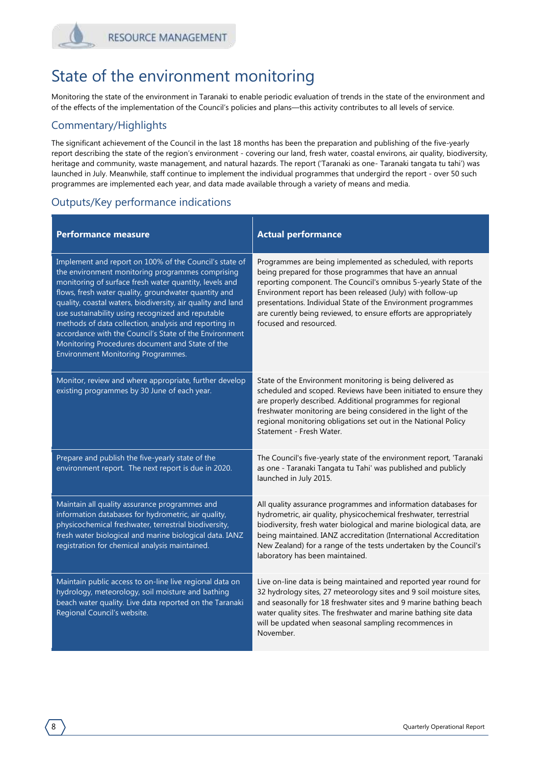## State of the environment monitoring

Monitoring the state of the environment in Taranaki to enable periodic evaluation of trends in the state of the environment and of the effects of the implementation of the Council's policies and plans—this activity contributes to all levels of service.

#### Commentary/Highlights

The significant achievement of the Council in the last 18 months has been the preparation and publishing of the five-yearly report describing the state of the region's environment - covering our land, fresh water, coastal environs, air quality, biodiversity, heritage and community, waste management, and natural hazards. The report ('Taranaki as one- Taranaki tangata tu tahi') was launched in July. Meanwhile, staff continue to implement the individual programmes that undergird the report - over 50 such programmes are implemented each year, and data made available through a variety of means and media.

| <b>Performance measure</b>                                                                                                                                                                                                                                                                                                                                                                                                                                                                                                                                          | <b>Actual performance</b>                                                                                                                                                                                                                                                                                                                                                                                               |
|---------------------------------------------------------------------------------------------------------------------------------------------------------------------------------------------------------------------------------------------------------------------------------------------------------------------------------------------------------------------------------------------------------------------------------------------------------------------------------------------------------------------------------------------------------------------|-------------------------------------------------------------------------------------------------------------------------------------------------------------------------------------------------------------------------------------------------------------------------------------------------------------------------------------------------------------------------------------------------------------------------|
| Implement and report on 100% of the Council's state of<br>the environment monitoring programmes comprising<br>monitoring of surface fresh water quantity, levels and<br>flows, fresh water quality, groundwater quantity and<br>quality, coastal waters, biodiversity, air quality and land<br>use sustainability using recognized and reputable<br>methods of data collection, analysis and reporting in<br>accordance with the Council's State of the Environment<br>Monitoring Procedures document and State of the<br><b>Environment Monitoring Programmes.</b> | Programmes are being implemented as scheduled, with reports<br>being prepared for those programmes that have an annual<br>reporting component. The Council's omnibus 5-yearly State of the<br>Environment report has been released (July) with follow-up<br>presentations. Individual State of the Environment programmes<br>are curently being reviewed, to ensure efforts are appropriately<br>focused and resourced. |
| Monitor, review and where appropriate, further develop<br>existing programmes by 30 June of each year.                                                                                                                                                                                                                                                                                                                                                                                                                                                              | State of the Environment monitoring is being delivered as<br>scheduled and scoped. Reviews have been initiated to ensure they<br>are properly described. Additional programmes for regional<br>freshwater monitoring are being considered in the light of the<br>regional monitoring obligations set out in the National Policy<br>Statement - Fresh Water.                                                             |
| Prepare and publish the five-yearly state of the<br>environment report. The next report is due in 2020.                                                                                                                                                                                                                                                                                                                                                                                                                                                             | The Council's five-yearly state of the environment report, 'Taranaki<br>as one - Taranaki Tangata tu Tahi' was published and publicly<br>launched in July 2015.                                                                                                                                                                                                                                                         |
| Maintain all quality assurance programmes and<br>information databases for hydrometric, air quality,<br>physicochemical freshwater, terrestrial biodiversity,<br>fresh water biological and marine biological data. IANZ<br>registration for chemical analysis maintained.                                                                                                                                                                                                                                                                                          | All quality assurance programmes and information databases for<br>hydrometric, air quality, physicochemical freshwater, terrestrial<br>biodiversity, fresh water biological and marine biological data, are<br>being maintained. IANZ accreditation (International Accreditation<br>New Zealand) for a range of the tests undertaken by the Council's<br>laboratory has been maintained.                                |
| Maintain public access to on-line live regional data on<br>hydrology, meteorology, soil moisture and bathing<br>beach water quality. Live data reported on the Taranaki<br>Regional Council's website.                                                                                                                                                                                                                                                                                                                                                              | Live on-line data is being maintained and reported year round for<br>32 hydrology sites, 27 meteorology sites and 9 soil moisture sites,<br>and seasonally for 18 freshwater sites and 9 marine bathing beach<br>water quality sites. The freshwater and marine bathing site data<br>will be updated when seasonal sampling recommences in<br>November.                                                                 |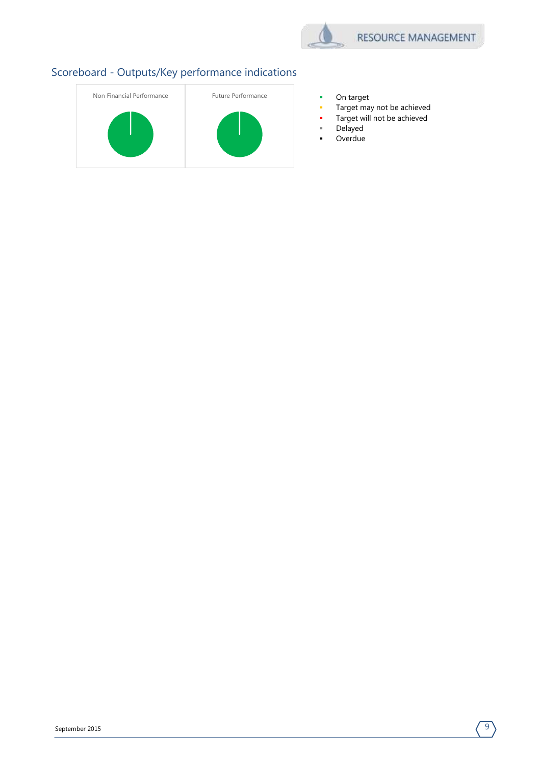

- 
- Target may not be achieved
- Target will not be achieved
- Delayed
- **-** Overdue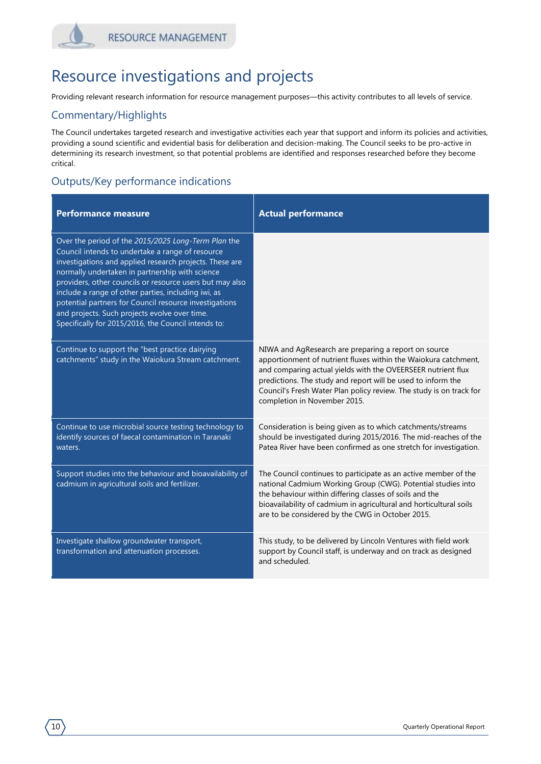### Resource investigations and projects

Providing relevant research information for resource management purposes—this activity contributes to all levels of service.

#### Commentary/Highlights

The Council undertakes targeted research and investigative activities each year that support and inform its policies and activities, providing a sound scientific and evidential basis for deliberation and decision-making. The Council seeks to be pro-active in determining its research investment, so that potential problems are identified and responses researched before they become critical.

| <b>Performance measure</b>                                                                                                                                                                                                                                                                                                                                                                                                                                                                                 | <b>Actual performance</b>                                                                                                                                                                                                                                                                                                                                      |
|------------------------------------------------------------------------------------------------------------------------------------------------------------------------------------------------------------------------------------------------------------------------------------------------------------------------------------------------------------------------------------------------------------------------------------------------------------------------------------------------------------|----------------------------------------------------------------------------------------------------------------------------------------------------------------------------------------------------------------------------------------------------------------------------------------------------------------------------------------------------------------|
| Over the period of the 2015/2025 Long-Term Plan the<br>Council intends to undertake a range of resource<br>investigations and applied research projects. These are<br>normally undertaken in partnership with science<br>providers, other councils or resource users but may also<br>include a range of other parties, including iwi, as<br>potential partners for Council resource investigations<br>and projects. Such projects evolve over time.<br>Specifically for 2015/2016, the Council intends to: |                                                                                                                                                                                                                                                                                                                                                                |
| Continue to support the "best practice dairying<br>catchments" study in the Waiokura Stream catchment.                                                                                                                                                                                                                                                                                                                                                                                                     | NIWA and AgResearch are preparing a report on source<br>apportionment of nutrient fluxes within the Waiokura catchment,<br>and comparing actual yields with the OVEERSEER nutrient flux<br>predictions. The study and report will be used to inform the<br>Council's Fresh Water Plan policy review. The study is on track for<br>completion in November 2015. |
| Continue to use microbial source testing technology to<br>identify sources of faecal contamination in Taranaki<br>waters.                                                                                                                                                                                                                                                                                                                                                                                  | Consideration is being given as to which catchments/streams<br>should be investigated during 2015/2016. The mid-reaches of the<br>Patea River have been confirmed as one stretch for investigation.                                                                                                                                                            |
| Support studies into the behaviour and bioavailability of<br>cadmium in agricultural soils and fertilizer.                                                                                                                                                                                                                                                                                                                                                                                                 | The Council continues to participate as an active member of the<br>national Cadmium Working Group (CWG). Potential studies into<br>the behaviour within differing classes of soils and the<br>bioavailability of cadmium in agricultural and horticultural soils<br>are to be considered by the CWG in October 2015.                                           |
| Investigate shallow groundwater transport,<br>transformation and attenuation processes.                                                                                                                                                                                                                                                                                                                                                                                                                    | This study, to be delivered by Lincoln Ventures with field work<br>support by Council staff, is underway and on track as designed<br>and scheduled.                                                                                                                                                                                                            |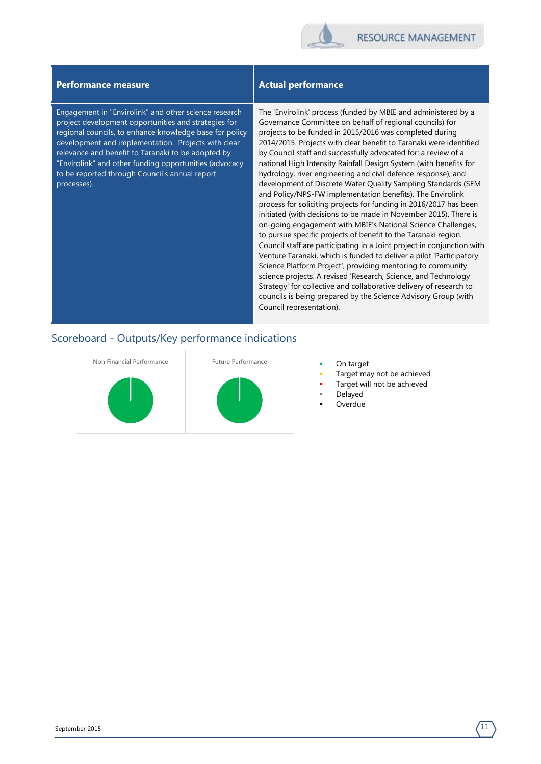

#### **Performance measure Actual performance**

Engagement in "Envirolink" and other science research project development opportunities and strategies for regional councils, to enhance knowledge base for policy development and implementation. Projects with clear relevance and benefit to Taranaki to be adopted by "Envirolink" and other funding opportunities (advocacy to be reported through Council's annual report processes).

The 'Envirolink' process (funded by MBIE and administered by a Governance Committee on behalf of regional councils) for projects to be funded in 2015/2016 was completed during 2014/2015. Projects with clear benefit to Taranaki were identified by Council staff and successfully advocated for: a review of a national High Intensity Rainfall Design System (with benefits for hydrology, river engineering and civil defence response), and development of Discrete Water Quality Sampling Standards (SEM and Policy/NPS-FW implementation benefits). The Envirolink process for soliciting projects for funding in 2016/2017 has been initiated (with decisions to be made in November 2015). There is on-going engagement with MBIE's National Science Challenges, to pursue specific projects of benefit to the Taranaki region. Council staff are participating in a Joint project in conjunction with Venture Taranaki, which is funded to deliver a pilot 'Participatory Science Platform Project', providing mentoring to community science projects. A revised 'Research, Science, and Technology Strategy' for collective and collaborative delivery of research to councils is being prepared by the Science Advisory Group (with Council representation).



- 
- Target may not be achieved
- Target will not be achieved
- Delayed
- Overdue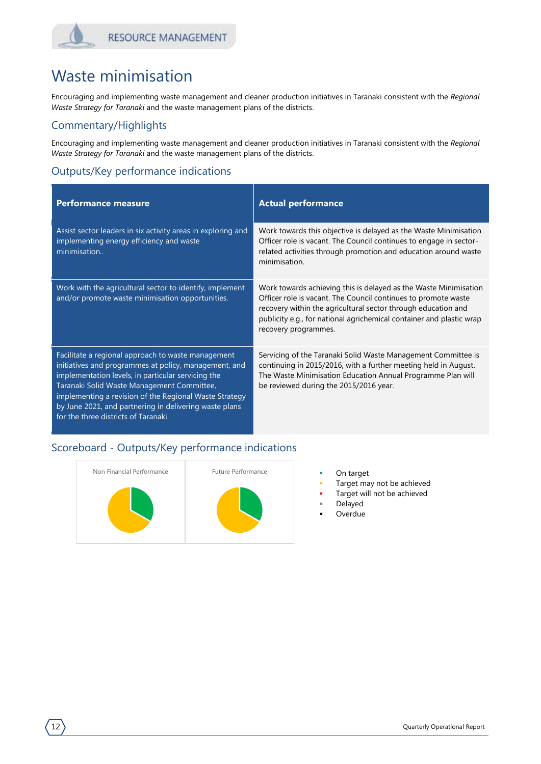### Waste minimisation

Encouraging and implementing waste management and cleaner production initiatives in Taranaki consistent with the *Regional Waste Strategy for Taranaki* and the waste management plans of the districts.

#### Commentary/Highlights

Encouraging and implementing waste management and cleaner production initiatives in Taranaki consistent with the *Regional Waste Strategy for Taranaki* and the waste management plans of the districts.

#### Outputs/Key performance indications

| <b>Performance measure</b>                                                                                                                                                                                                                                                                                                                                                  | <b>Actual performance</b>                                                                                                                                                                                                                                                                           |
|-----------------------------------------------------------------------------------------------------------------------------------------------------------------------------------------------------------------------------------------------------------------------------------------------------------------------------------------------------------------------------|-----------------------------------------------------------------------------------------------------------------------------------------------------------------------------------------------------------------------------------------------------------------------------------------------------|
| Assist sector leaders in six activity areas in exploring and<br>implementing energy efficiency and waste<br>minimisation                                                                                                                                                                                                                                                    | Work towards this objective is delayed as the Waste Minimisation<br>Officer role is vacant. The Council continues to engage in sector-<br>related activities through promotion and education around waste<br>minimisation                                                                           |
| Work with the agricultural sector to identify, implement<br>and/or promote waste minimisation opportunities.                                                                                                                                                                                                                                                                | Work towards achieving this is delayed as the Waste Minimisation<br>Officer role is vacant. The Council continues to promote waste<br>recovery within the agricultural sector through education and<br>publicity e.g., for national agrichemical container and plastic wrap<br>recovery programmes. |
| Facilitate a regional approach to waste management<br>initiatives and programmes at policy, management, and<br>implementation levels, in particular servicing the<br>Taranaki Solid Waste Management Committee,<br>implementing a revision of the Regional Waste Strategy<br>by June 2021, and partnering in delivering waste plans<br>for the three districts of Taranaki. | Servicing of the Taranaki Solid Waste Management Committee is<br>continuing in 2015/2016, with a further meeting held in August.<br>The Waste Minimisation Education Annual Programme Plan will<br>be reviewed during the 2015/2016 year.                                                           |



- 
- Target may not be achieved
- Target will not be achieved
- Delayed
- Overdue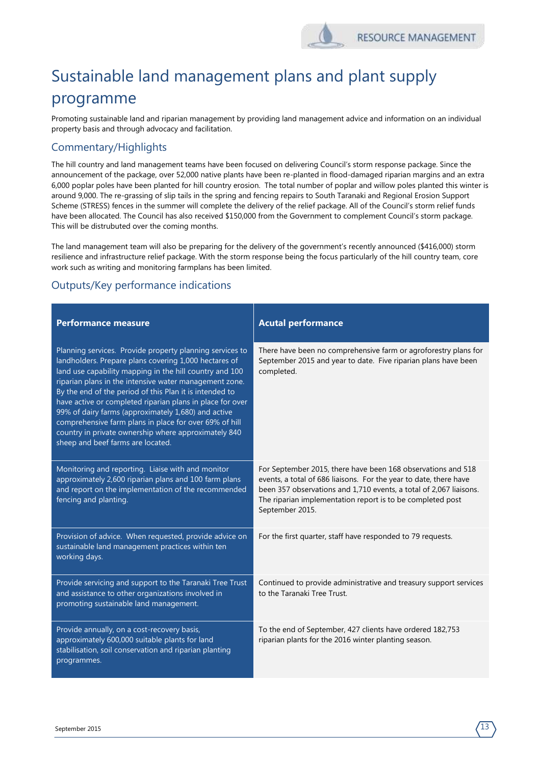# Sustainable land management plans and plant supply programme

Promoting sustainable land and riparian management by providing land management advice and information on an individual property basis and through advocacy and facilitation.

#### Commentary/Highlights

The hill country and land management teams have been focused on delivering Council's storm response package. Since the announcement of the package, over 52,000 native plants have been re-planted in flood-damaged riparian margins and an extra 6,000 poplar poles have been planted for hill country erosion. The total number of poplar and willow poles planted this winter is around 9,000. The re-grassing of slip tails in the spring and fencing repairs to South Taranaki and Regional Erosion Support Scheme (STRESS) fences in the summer will complete the delivery of the relief package. All of the Council's storm relief funds have been allocated. The Council has also received \$150,000 from the Government to complement Council's storm package. This will be distrubuted over the coming months.

The land management team will also be preparing for the delivery of the government's recently announced (\$416,000) storm resilience and infrastructure relief package. With the storm response being the focus particularly of the hill country team, core work such as writing and monitoring farmplans has been limited.

| <b>Performance measure</b>                                                                                                                                                                                                                                                                                                                                                                                                                                                                                                                                                   | <b>Acutal performance</b>                                                                                                                                                                                                                                                                |
|------------------------------------------------------------------------------------------------------------------------------------------------------------------------------------------------------------------------------------------------------------------------------------------------------------------------------------------------------------------------------------------------------------------------------------------------------------------------------------------------------------------------------------------------------------------------------|------------------------------------------------------------------------------------------------------------------------------------------------------------------------------------------------------------------------------------------------------------------------------------------|
| Planning services. Provide property planning services to<br>landholders. Prepare plans covering 1,000 hectares of<br>land use capability mapping in the hill country and 100<br>riparian plans in the intensive water management zone.<br>By the end of the period of this Plan it is intended to<br>have active or completed riparian plans in place for over<br>99% of dairy farms (approximately 1,680) and active<br>comprehensive farm plans in place for over 69% of hill<br>country in private ownership where approximately 840<br>sheep and beef farms are located. | There have been no comprehensive farm or agroforestry plans for<br>September 2015 and year to date. Five riparian plans have been<br>completed.                                                                                                                                          |
| Monitoring and reporting. Liaise with and monitor<br>approximately 2,600 riparian plans and 100 farm plans<br>and report on the implementation of the recommended<br>fencing and planting.                                                                                                                                                                                                                                                                                                                                                                                   | For September 2015, there have been 168 observations and 518<br>events, a total of 686 liaisons. For the year to date, there have<br>been 357 observations and 1,710 events, a total of 2,067 liaisons.<br>The riparian implementation report is to be completed post<br>September 2015. |
| Provision of advice. When requested, provide advice on<br>sustainable land management practices within ten<br>working days.                                                                                                                                                                                                                                                                                                                                                                                                                                                  | For the first quarter, staff have responded to 79 requests.                                                                                                                                                                                                                              |
| Provide servicing and support to the Taranaki Tree Trust<br>and assistance to other organizations involved in<br>promoting sustainable land management.                                                                                                                                                                                                                                                                                                                                                                                                                      | Continued to provide administrative and treasury support services<br>to the Taranaki Tree Trust.                                                                                                                                                                                         |
| Provide annually, on a cost-recovery basis,<br>approximately 600,000 suitable plants for land<br>stabilisation, soil conservation and riparian planting<br>programmes.                                                                                                                                                                                                                                                                                                                                                                                                       | To the end of September, 427 clients have ordered 182,753<br>riparian plants for the 2016 winter planting season.                                                                                                                                                                        |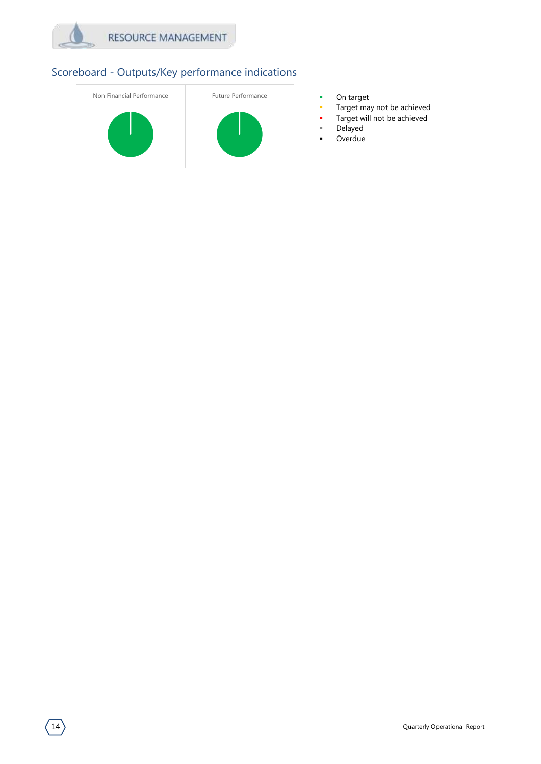



- 
- Target may not be achieved
- Target will not be achieved
- Delayed
- **-** Overdue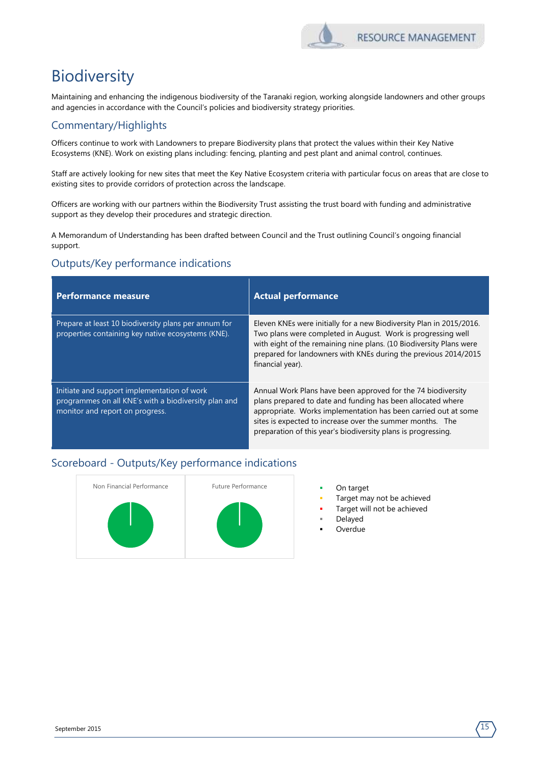

# Biodiversity

Maintaining and enhancing the indigenous biodiversity of the Taranaki region, working alongside landowners and other groups and agencies in accordance with the Council's policies and biodiversity strategy priorities.

#### Commentary/Highlights

Officers continue to work with Landowners to prepare Biodiversity plans that protect the values within their Key Native Ecosystems (KNE). Work on existing plans including: fencing, planting and pest plant and animal control, continues.

Staff are actively looking for new sites that meet the Key Native Ecosystem criteria with particular focus on areas that are close to existing sites to provide corridors of protection across the landscape.

Officers are working with our partners within the Biodiversity Trust assisting the trust board with funding and administrative support as they develop their procedures and strategic direction.

A Memorandum of Understanding has been drafted between Council and the Trust outlining Council's ongoing financial support.

#### Outputs/Key performance indications

| <b>Performance measure</b>                                                                                                             | <b>Actual performance</b>                                                                                                                                                                                                                                                                                                   |
|----------------------------------------------------------------------------------------------------------------------------------------|-----------------------------------------------------------------------------------------------------------------------------------------------------------------------------------------------------------------------------------------------------------------------------------------------------------------------------|
| Prepare at least 10 biodiversity plans per annum for<br>properties containing key native ecosystems (KNE).                             | Eleven KNEs were initially for a new Biodiversity Plan in 2015/2016.<br>Two plans were completed in August. Work is progressing well<br>with eight of the remaining nine plans. (10 Biodiversity Plans were<br>prepared for landowners with KNEs during the previous 2014/2015<br>financial year).                          |
| Initiate and support implementation of work<br>programmes on all KNE's with a biodiversity plan and<br>monitor and report on progress. | Annual Work Plans have been approved for the 74 biodiversity<br>plans prepared to date and funding has been allocated where<br>appropriate. Works implementation has been carried out at some<br>sites is expected to increase over the summer months. The<br>preparation of this year's biodiversity plans is progressing. |



- 
- Target may not be achieved
- Target will not be achieved
- Delayed
- Overdue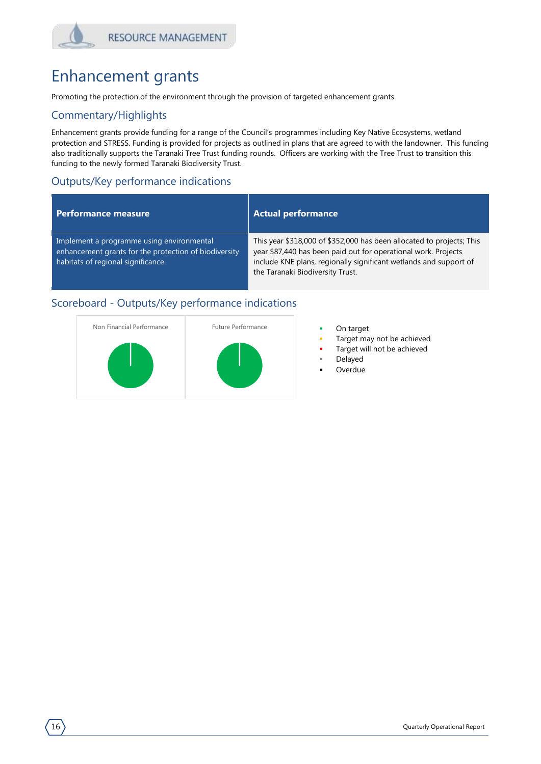## Enhancement grants

Promoting the protection of the environment through the provision of targeted enhancement grants.

#### Commentary/Highlights

Enhancement grants provide funding for a range of the Council's programmes including Key Native Ecosystems, wetland protection and STRESS. Funding is provided for projects as outlined in plans that are agreed to with the landowner. This funding also traditionally supports the Taranaki Tree Trust funding rounds. Officers are working with the Tree Trust to transition this funding to the newly formed Taranaki Biodiversity Trust.

#### Outputs/Key performance indications

#### **Performance measure Actual performance**

Implement a programme using environmental enhancement grants for the protection of biodiversity habitats of regional significance.

This year \$318,000 of \$352,000 has been allocated to projects; This year \$87,440 has been paid out for operational work. Projects include KNE plans, regionally significant wetlands and support of the Taranaki Biodiversity Trust.



- 
- Target may not be achieved
- Target will not be achieved
- Delayed
- Overdue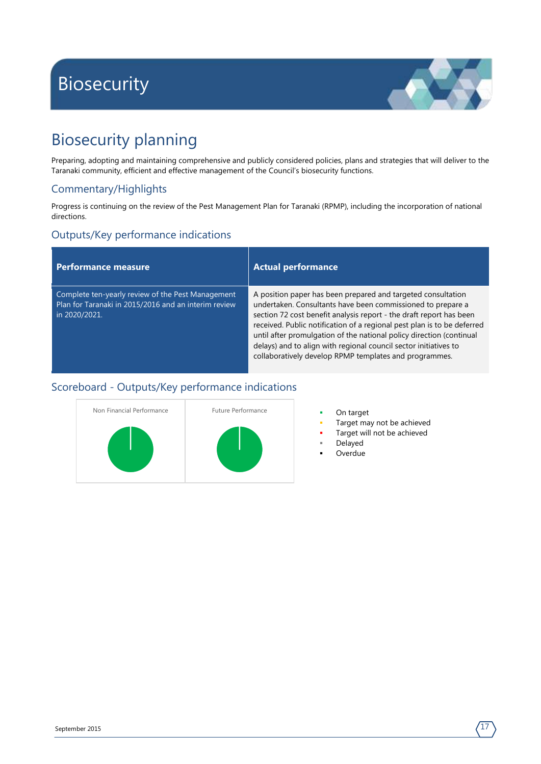# <span id="page-18-0"></span>Biosecurity



# Biosecurity planning

Preparing, adopting and maintaining comprehensive and publicly considered policies, plans and strategies that will deliver to the Taranaki community, efficient and effective management of the Council's biosecurity functions.

#### Commentary/Highlights

Progress is continuing on the review of the Pest Management Plan for Taranaki (RPMP), including the incorporation of national directions.

#### Outputs/Key performance indications

| <b>Performance measure</b>                                                                                                 | <b>Actual performance</b>                                                                                                                                                                                                                                                                                                                                                                                                                                                           |
|----------------------------------------------------------------------------------------------------------------------------|-------------------------------------------------------------------------------------------------------------------------------------------------------------------------------------------------------------------------------------------------------------------------------------------------------------------------------------------------------------------------------------------------------------------------------------------------------------------------------------|
| Complete ten-yearly review of the Pest Management<br>Plan for Taranaki in 2015/2016 and an interim review<br>in 2020/2021. | A position paper has been prepared and targeted consultation<br>undertaken. Consultants have been commissioned to prepare a<br>section 72 cost benefit analysis report - the draft report has been<br>received. Public notification of a regional pest plan is to be deferred<br>until after promulgation of the national policy direction (continual<br>delays) and to align with regional council sector initiatives to<br>collaboratively develop RPMP templates and programmes. |



- 
- Target may not be achieved
- Target will not be achieved
- Delayed
- Overdue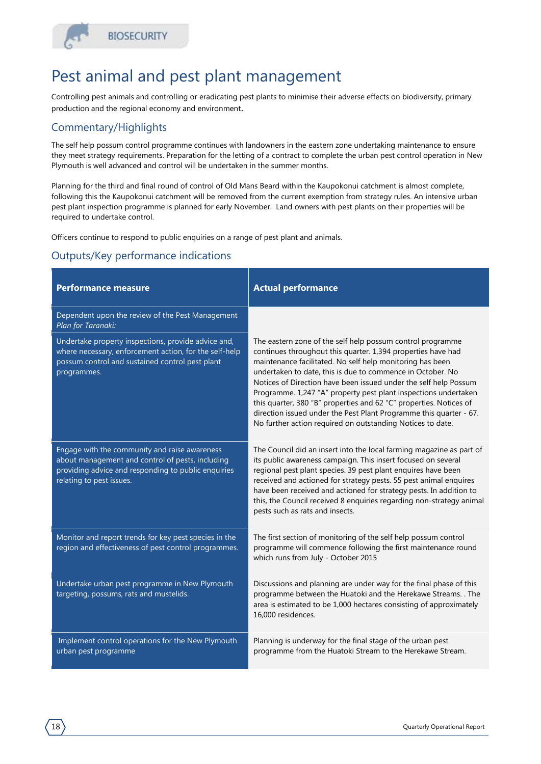### Pest animal and pest plant management

Controlling pest animals and controlling or eradicating pest plants to minimise their adverse effects on biodiversity, primary production and the regional economy and environment.

#### Commentary/Highlights

The self help possum control programme continues with landowners in the eastern zone undertaking maintenance to ensure they meet strategy requirements. Preparation for the letting of a contract to complete the urban pest control operation in New Plymouth is well advanced and control will be undertaken in the summer months.

Planning for the third and final round of control of Old Mans Beard within the Kaupokonui catchment is almost complete, following this the Kaupokonui catchment will be removed from the current exemption from strategy rules. An intensive urban pest plant inspection programme is planned for early November. Land owners with pest plants on their properties will be required to undertake control.

Officers continue to respond to public enquiries on a range of pest plant and animals.

| <b>Performance measure</b>                                                                                                                                                           | <b>Actual performance</b>                                                                                                                                                                                                                                                                                                                                                                                                                                                                                                                                                                              |
|--------------------------------------------------------------------------------------------------------------------------------------------------------------------------------------|--------------------------------------------------------------------------------------------------------------------------------------------------------------------------------------------------------------------------------------------------------------------------------------------------------------------------------------------------------------------------------------------------------------------------------------------------------------------------------------------------------------------------------------------------------------------------------------------------------|
| Dependent upon the review of the Pest Management<br>Plan for Taranaki:                                                                                                               |                                                                                                                                                                                                                                                                                                                                                                                                                                                                                                                                                                                                        |
| Undertake property inspections, provide advice and,<br>where necessary, enforcement action, for the self-help<br>possum control and sustained control pest plant<br>programmes.      | The eastern zone of the self help possum control programme<br>continues throughout this quarter. 1,394 properties have had<br>maintenance facilitated. No self help monitoring has been<br>undertaken to date, this is due to commence in October. No<br>Notices of Direction have been issued under the self help Possum<br>Programme. 1,247 "A" property pest plant inspections undertaken<br>this quarter, 380 "B" properties and 62 "C" properties. Notices of<br>direction issued under the Pest Plant Programme this quarter - 67.<br>No further action required on outstanding Notices to date. |
| Engage with the community and raise awareness<br>about management and control of pests, including<br>providing advice and responding to public enquiries<br>relating to pest issues. | The Council did an insert into the local farming magazine as part of<br>its public awareness campaign. This insert focused on several<br>regional pest plant species. 39 pest plant enquires have been<br>received and actioned for strategy pests. 55 pest animal enquires<br>have been received and actioned for strategy pests. In addition to<br>this, the Council received 8 enquiries regarding non-strategy animal<br>pests such as rats and insects.                                                                                                                                           |
| Monitor and report trends for key pest species in the<br>region and effectiveness of pest control programmes.                                                                        | The first section of monitoring of the self help possum control<br>programme will commence following the first maintenance round<br>which runs from July - October 2015                                                                                                                                                                                                                                                                                                                                                                                                                                |
| Undertake urban pest programme in New Plymouth<br>targeting, possums, rats and mustelids.                                                                                            | Discussions and planning are under way for the final phase of this<br>programme between the Huatoki and the Herekawe Streams. . The<br>area is estimated to be 1,000 hectares consisting of approximately<br>16,000 residences.                                                                                                                                                                                                                                                                                                                                                                        |
| Implement control operations for the New Plymouth<br>urban pest programme                                                                                                            | Planning is underway for the final stage of the urban pest<br>programme from the Huatoki Stream to the Herekawe Stream.                                                                                                                                                                                                                                                                                                                                                                                                                                                                                |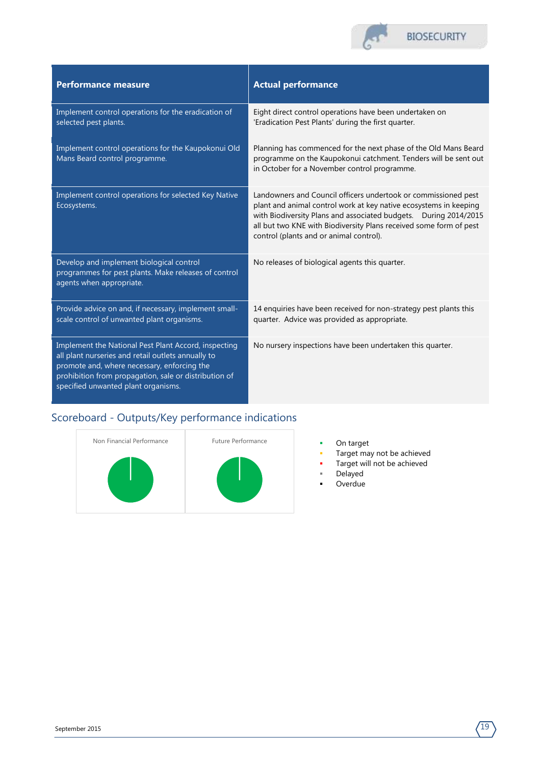

| <b>Performance measure</b>                                                                                                                                                                                                                                | <b>Actual performance</b>                                                                                                                                                                                                                                                                                                |
|-----------------------------------------------------------------------------------------------------------------------------------------------------------------------------------------------------------------------------------------------------------|--------------------------------------------------------------------------------------------------------------------------------------------------------------------------------------------------------------------------------------------------------------------------------------------------------------------------|
| Implement control operations for the eradication of<br>selected pest plants.                                                                                                                                                                              | Eight direct control operations have been undertaken on<br>'Eradication Pest Plants' during the first quarter.                                                                                                                                                                                                           |
| Implement control operations for the Kaupokonui Old<br>Mans Beard control programme.                                                                                                                                                                      | Planning has commenced for the next phase of the Old Mans Beard<br>programme on the Kaupokonui catchment. Tenders will be sent out<br>in October for a November control programme.                                                                                                                                       |
| Implement control operations for selected Key Native<br>Ecosystems.                                                                                                                                                                                       | Landowners and Council officers undertook or commissioned pest<br>plant and animal control work at key native ecosystems in keeping<br>with Biodiversity Plans and associated budgets. During 2014/2015<br>all but two KNE with Biodiversity Plans received some form of pest<br>control (plants and or animal control). |
| Develop and implement biological control<br>programmes for pest plants. Make releases of control<br>agents when appropriate.                                                                                                                              | No releases of biological agents this quarter.                                                                                                                                                                                                                                                                           |
| Provide advice on and, if necessary, implement small-<br>scale control of unwanted plant organisms.                                                                                                                                                       | 14 enquiries have been received for non-strategy pest plants this<br>quarter. Advice was provided as appropriate.                                                                                                                                                                                                        |
| Implement the National Pest Plant Accord, inspecting<br>all plant nurseries and retail outlets annually to<br>promote and, where necessary, enforcing the<br>prohibition from propagation, sale or distribution of<br>specified unwanted plant organisms. | No nursery inspections have been undertaken this quarter.                                                                                                                                                                                                                                                                |



- 
- **Target may not be achieved**
- **Target will not be achieved** 
	- Delayed
- **-** Overdue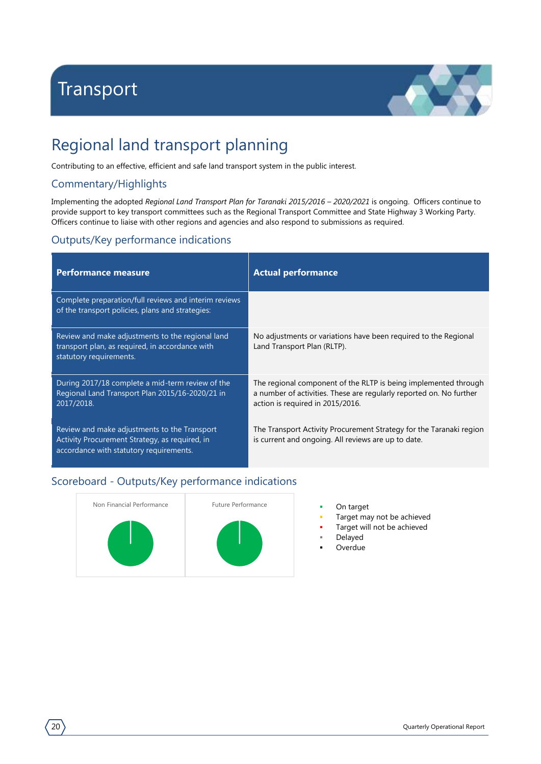# <span id="page-21-0"></span>Transport



# Regional land transport planning

Contributing to an effective, efficient and safe land transport system in the public interest.

#### Commentary/Highlights

Implementing the adopted *Regional Land Transport Plan for Taranaki 2015/2016 – 2020/2021* is ongoing. Officers continue to provide support to key transport committees such as the Regional Transport Committee and State Highway 3 Working Party. Officers continue to liaise with other regions and agencies and also respond to submissions as required.

#### Outputs/Key performance indications

| <b>Performance measure</b>                                                                                                                | <b>Actual performance</b>                                                                                                                                                  |
|-------------------------------------------------------------------------------------------------------------------------------------------|----------------------------------------------------------------------------------------------------------------------------------------------------------------------------|
| Complete preparation/full reviews and interim reviews<br>of the transport policies, plans and strategies:                                 |                                                                                                                                                                            |
| Review and make adjustments to the regional land<br>transport plan, as required, in accordance with<br>statutory requirements.            | No adjustments or variations have been required to the Regional<br>Land Transport Plan (RLTP).                                                                             |
| During 2017/18 complete a mid-term review of the<br>Regional Land Transport Plan 2015/16-2020/21 in<br>2017/2018.                         | The regional component of the RLTP is being implemented through<br>a number of activities. These are regularly reported on. No further<br>action is required in 2015/2016. |
| Review and make adjustments to the Transport<br>Activity Procurement Strategy, as required, in<br>accordance with statutory requirements. | The Transport Activity Procurement Strategy for the Taranaki region<br>is current and ongoing. All reviews are up to date.                                                 |



- 
- Target may not be achieved
- Target will not be achieved
	- Delayed
- Overdue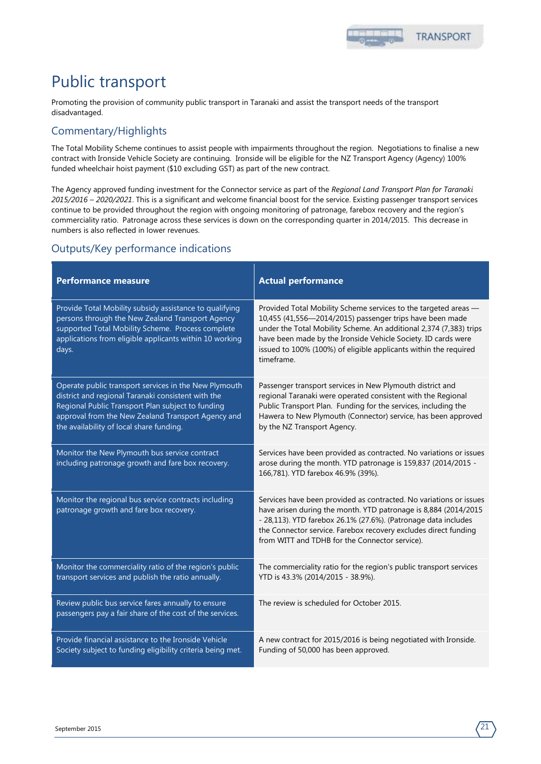# Public transport

Promoting the provision of community public transport in Taranaki and assist the transport needs of the transport disadvantaged.

#### Commentary/Highlights

The Total Mobility Scheme continues to assist people with impairments throughout the region. Negotiations to finalise a new contract with Ironside Vehicle Society are continuing. Ironside will be eligible for the NZ Transport Agency (Agency) 100% funded wheelchair hoist payment (\$10 excluding GST) as part of the new contract.

The Agency approved funding investment for the Connector service as part of the *Regional Land Transport Plan for Taranaki 2015/2016 – 2020/2021*. This is a significant and welcome financial boost for the service. Existing passenger transport services continue to be provided throughout the region with ongoing monitoring of patronage, farebox recovery and the region's commerciality ratio. Patronage across these services is down on the corresponding quarter in 2014/2015. This decrease in numbers is also reflected in lower revenues.

| <b>Performance measure</b>                                                                                                                                                                                                                                         | <b>Actual performance</b>                                                                                                                                                                                                                                                                                                                            |
|--------------------------------------------------------------------------------------------------------------------------------------------------------------------------------------------------------------------------------------------------------------------|------------------------------------------------------------------------------------------------------------------------------------------------------------------------------------------------------------------------------------------------------------------------------------------------------------------------------------------------------|
| Provide Total Mobility subsidy assistance to qualifying<br>persons through the New Zealand Transport Agency<br>supported Total Mobility Scheme. Process complete<br>applications from eligible applicants within 10 working<br>days.                               | Provided Total Mobility Scheme services to the targeted areas -<br>10,455 (41,556-2014/2015) passenger trips have been made<br>under the Total Mobility Scheme. An additional 2,374 (7,383) trips<br>have been made by the Ironside Vehicle Society. ID cards were<br>issued to 100% (100%) of eligible applicants within the required<br>timeframe. |
| Operate public transport services in the New Plymouth<br>district and regional Taranaki consistent with the<br>Regional Public Transport Plan subject to funding<br>approval from the New Zealand Transport Agency and<br>the availability of local share funding. | Passenger transport services in New Plymouth district and<br>regional Taranaki were operated consistent with the Regional<br>Public Transport Plan. Funding for the services, including the<br>Hawera to New Plymouth (Connector) service, has been approved<br>by the NZ Transport Agency.                                                          |
| Monitor the New Plymouth bus service contract<br>including patronage growth and fare box recovery.                                                                                                                                                                 | Services have been provided as contracted. No variations or issues<br>arose during the month. YTD patronage is 159,837 (2014/2015 -<br>166,781). YTD farebox 46.9% (39%).                                                                                                                                                                            |
| Monitor the regional bus service contracts including<br>patronage growth and fare box recovery.                                                                                                                                                                    | Services have been provided as contracted. No variations or issues<br>have arisen during the month. YTD patronage is 8,884 (2014/2015<br>- 28,113). YTD farebox 26.1% (27.6%). (Patronage data includes<br>the Connector service. Farebox recovery excludes direct funding<br>from WITT and TDHB for the Connector service).                         |
| Monitor the commerciality ratio of the region's public<br>transport services and publish the ratio annually.                                                                                                                                                       | The commerciality ratio for the region's public transport services<br>YTD is 43.3% (2014/2015 - 38.9%).                                                                                                                                                                                                                                              |
| Review public bus service fares annually to ensure<br>passengers pay a fair share of the cost of the services.                                                                                                                                                     | The review is scheduled for October 2015.                                                                                                                                                                                                                                                                                                            |
| Provide financial assistance to the Ironside Vehicle<br>Society subject to funding eligibility criteria being met.                                                                                                                                                 | A new contract for 2015/2016 is being negotiated with Ironside.<br>Funding of 50,000 has been approved.                                                                                                                                                                                                                                              |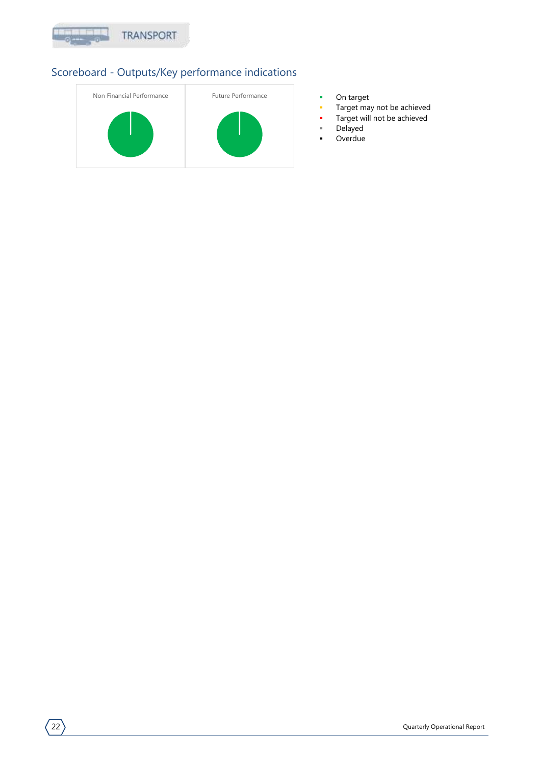



- 
- Target may not be achieved
- Target will not be achieved
- Delayed
- **-** Overdue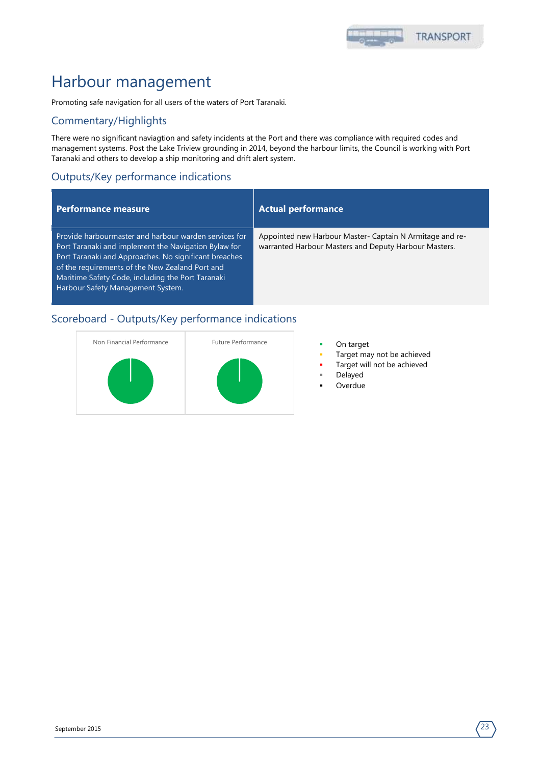

### Harbour management

Promoting safe navigation for all users of the waters of Port Taranaki.

#### Commentary/Highlights

There were no significant naviagtion and safety incidents at the Port and there was compliance with required codes and management systems. Post the Lake Triview grounding in 2014, beyond the harbour limits, the Council is working with Port Taranaki and others to develop a ship monitoring and drift alert system.

#### Outputs/Key performance indications

#### **Performance measure Actual performance**

Provide harbourmaster and harbour warden services for Port Taranaki and implement the Navigation Bylaw for Port Taranaki and Approaches. No significant breaches of the requirements of the New Zealand Port and Maritime Safety Code, including the Port Taranaki Harbour Safety Management System.

Appointed new Harbour Master- Captain N Armitage and rewarranted Harbour Masters and Deputy Harbour Masters.



- 
- Target may not be achieved
- Target will not be achieved
- Delayed
- Overdue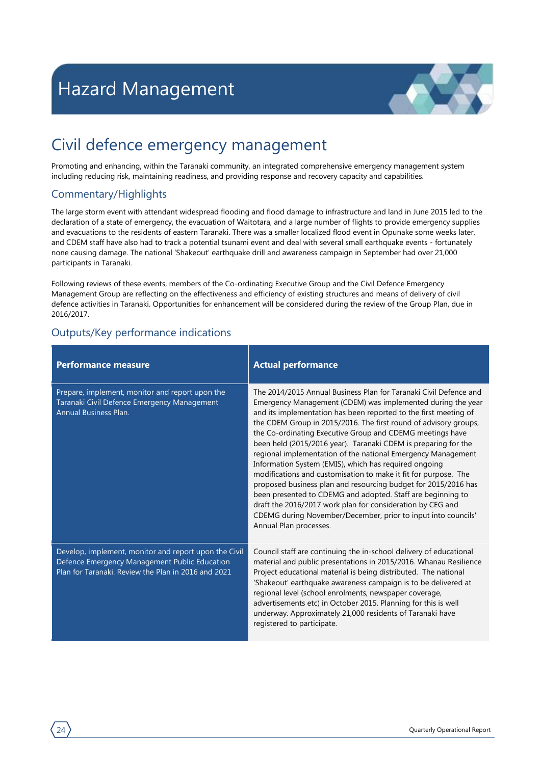

### <span id="page-25-0"></span>Civil defence emergency management

Promoting and enhancing, within the Taranaki community, an integrated comprehensive emergency management system including reducing risk, maintaining readiness, and providing response and recovery capacity and capabilities.

#### Commentary/Highlights

The large storm event with attendant widespread flooding and flood damage to infrastructure and land in June 2015 led to the declaration of a state of emergency, the evacuation of Waitotara, and a large number of flights to provide emergency supplies and evacuations to the residents of eastern Taranaki. There was a smaller localized flood event in Opunake some weeks later, and CDEM staff have also had to track a potential tsunami event and deal with several small earthquake events - fortunately none causing damage. The national 'Shakeout' earthquake drill and awareness campaign in September had over 21,000 participants in Taranaki.

Following reviews of these events, members of the Co-ordinating Executive Group and the Civil Defence Emergency Management Group are reflecting on the effectiveness and efficiency of existing structures and means of delivery of civil defence activities in Taranaki. Opportunities for enhancement will be considered during the review of the Group Plan, due in 2016/2017.

| <b>Performance measure</b>                                                                                                                                    | <b>Actual performance</b>                                                                                                                                                                                                                                                                                                                                                                                                                                                                                                                                                                                                                                                                                                                                                                                                                                                                     |
|---------------------------------------------------------------------------------------------------------------------------------------------------------------|-----------------------------------------------------------------------------------------------------------------------------------------------------------------------------------------------------------------------------------------------------------------------------------------------------------------------------------------------------------------------------------------------------------------------------------------------------------------------------------------------------------------------------------------------------------------------------------------------------------------------------------------------------------------------------------------------------------------------------------------------------------------------------------------------------------------------------------------------------------------------------------------------|
| Prepare, implement, monitor and report upon the<br>Taranaki Civil Defence Emergency Management<br><b>Annual Business Plan.</b>                                | The 2014/2015 Annual Business Plan for Taranaki Civil Defence and<br>Emergency Management (CDEM) was implemented during the year<br>and its implementation has been reported to the first meeting of<br>the CDEM Group in 2015/2016. The first round of advisory groups,<br>the Co-ordinating Executive Group and CDEMG meetings have<br>been held (2015/2016 year). Taranaki CDEM is preparing for the<br>regional implementation of the national Emergency Management<br>Information System (EMIS), which has required ongoing<br>modifications and customisation to make it fit for purpose. The<br>proposed business plan and resourcing budget for 2015/2016 has<br>been presented to CDEMG and adopted. Staff are beginning to<br>draft the 2016/2017 work plan for consideration by CEG and<br>CDEMG during November/December, prior to input into councils'<br>Annual Plan processes. |
| Develop, implement, monitor and report upon the Civil<br>Defence Emergency Management Public Education<br>Plan for Taranaki. Review the Plan in 2016 and 2021 | Council staff are continuing the in-school delivery of educational<br>material and public presentations in 2015/2016. Whanau Resilience<br>Project educational material is being distributed. The national<br>'Shakeout' earthquake awareness campaign is to be delivered at<br>regional level (school enrolments, newspaper coverage,<br>advertisements etc) in October 2015. Planning for this is well<br>underway. Approximately 21,000 residents of Taranaki have<br>registered to participate.                                                                                                                                                                                                                                                                                                                                                                                           |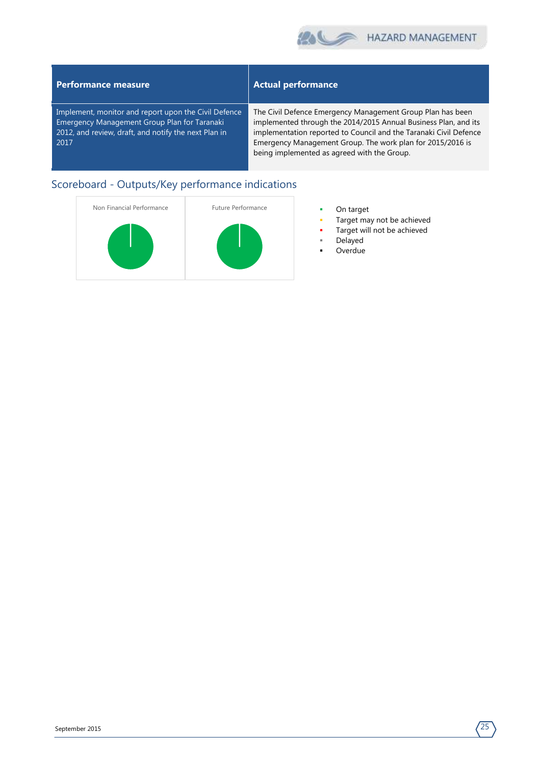

#### **Performance measure Actual performance** Implement, monitor and report upon the Civil Defence Emergency Management Group Plan for Taranaki 2012, and review, draft, and notify the next Plan in 2017 The Civil Defence Emergency Management Group Plan has been implemented through the 2014/2015 Annual Business Plan, and its implementation reported to Council and the Taranaki Civil Defence Emergency Management Group. The work plan for 2015/2016 is being implemented as agreed with the Group.



- 
- Target may not be achieved
- Target will not be achieved
- Delayed
- **Overdue**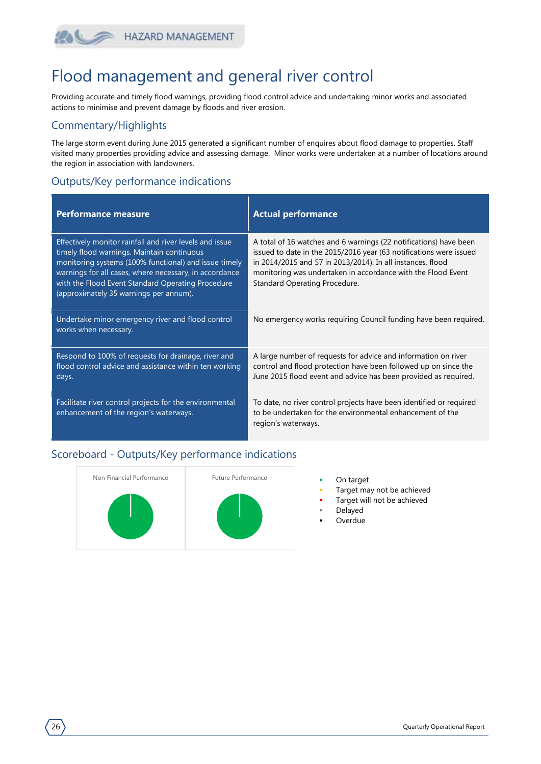### HAZARD MANAGEMENT

### Flood management and general river control

Providing accurate and timely flood warnings, providing flood control advice and undertaking minor works and associated actions to minimise and prevent damage by floods and river erosion.

#### Commentary/Highlights

The large storm event during June 2015 generated a significant number of enquires about flood damage to properties. Staff visited many properties providing advice and assessing damage. Minor works were undertaken at a number of locations around the region in association with landowners.

#### Outputs/Key performance indications

| <b>Performance measure</b>                                                                                                                                                                                                                                                                                              | <b>Actual performance</b>                                                                                                                                                                                                                                                                              |
|-------------------------------------------------------------------------------------------------------------------------------------------------------------------------------------------------------------------------------------------------------------------------------------------------------------------------|--------------------------------------------------------------------------------------------------------------------------------------------------------------------------------------------------------------------------------------------------------------------------------------------------------|
| Effectively monitor rainfall and river levels and issue<br>timely flood warnings. Maintain continuous<br>monitoring systems (100% functional) and issue timely<br>warnings for all cases, where necessary, in accordance<br>with the Flood Event Standard Operating Procedure<br>(approximately 35 warnings per annum). | A total of 16 watches and 6 warnings (22 notifications) have been<br>issued to date in the 2015/2016 year (63 notifications were issued<br>in 2014/2015 and 57 in 2013/2014). In all instances, flood<br>monitoring was undertaken in accordance with the Flood Event<br>Standard Operating Procedure. |
| Undertake minor emergency river and flood control<br>works when necessary.                                                                                                                                                                                                                                              | No emergency works requiring Council funding have been required.                                                                                                                                                                                                                                       |
| Respond to 100% of requests for drainage, river and<br>flood control advice and assistance within ten working<br>days.                                                                                                                                                                                                  | A large number of requests for advice and information on river<br>control and flood protection have been followed up on since the<br>June 2015 flood event and advice has been provided as required.                                                                                                   |
| Facilitate river control projects for the environmental<br>enhancement of the region's waterways.                                                                                                                                                                                                                       | To date, no river control projects have been identified or required<br>to be undertaken for the environmental enhancement of the<br>region's waterways.                                                                                                                                                |



- 
- Target may not be achieved
- Target will not be achieved
- Delayed
- Overdue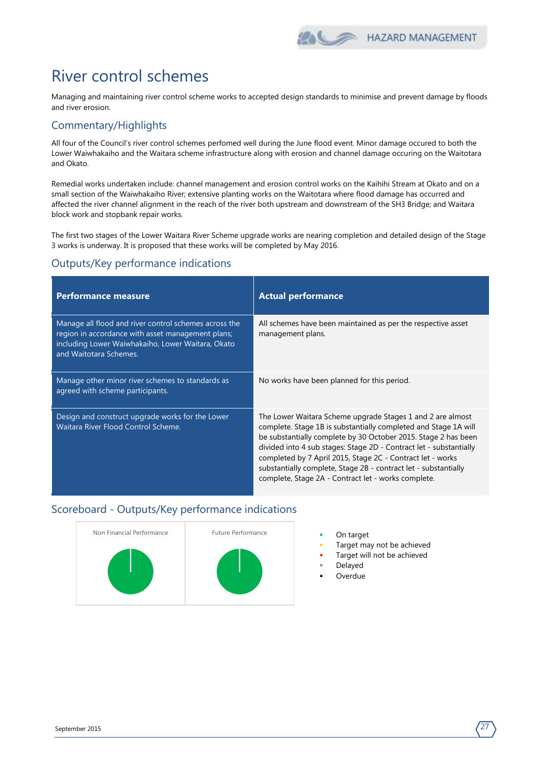

### River control schemes

Managing and maintaining river control scheme works to accepted design standards to minimise and prevent damage by floods and river erosion.

#### Commentary/Highlights

All four of the Council's river control schemes perfomed well during the June flood event. Minor damage occured to both the Lower Waiwhakaiho and the Waitara scheme infrastructure along with erosion and channel damage occuring on the Waitotara and Okato.

Remedial works undertaken include: channel management and erosion control works on the Kaihihi Stream at Okato and on a small section of the Waiwhakaiho River; extensive planting works on the Waitotara where flood damage has occurred and affected the river channel alignment in the reach of the river both upstream and downstream of the SH3 Bridge; and Waitara block work and stopbank repair works.

The first two stages of the Lower Waitara River Scheme upgrade works are nearing completion and detailed design of the Stage 3 works is underway. It is proposed that these works will be completed by May 2016.

#### Outputs/Key performance indications

| <b>Performance measure</b>                                                                                                                                                                | <b>Actual performance</b>                                                                                                                                                                                                                                                                                                                                                                                                                                     |
|-------------------------------------------------------------------------------------------------------------------------------------------------------------------------------------------|---------------------------------------------------------------------------------------------------------------------------------------------------------------------------------------------------------------------------------------------------------------------------------------------------------------------------------------------------------------------------------------------------------------------------------------------------------------|
| Manage all flood and river control schemes across the<br>region in accordance with asset management plans;<br>including Lower Waiwhakaiho, Lower Waitara, Okato<br>and Waitotara Schemes. | All schemes have been maintained as per the respective asset<br>management plans.                                                                                                                                                                                                                                                                                                                                                                             |
| Manage other minor river schemes to standards as<br>agreed with scheme participants.                                                                                                      | No works have been planned for this period.                                                                                                                                                                                                                                                                                                                                                                                                                   |
| Design and construct upgrade works for the Lower<br>Waitara River Flood Control Scheme.                                                                                                   | The Lower Waitara Scheme upgrade Stages 1 and 2 are almost<br>complete. Stage 1B is substantially completed and Stage 1A will<br>be substantially complete by 30 October 2015. Stage 2 has been<br>divided into 4 sub stages: Stage 2D - Contract let - substantially<br>completed by 7 April 2015, Stage 2C - Contract let - works<br>substantially complete, Stage 2B - contract let - substantially<br>complete, Stage 2A - Contract let - works complete. |



- 
- Target may not be achieved
- Target will not be achieved
- Delayed
- Overdue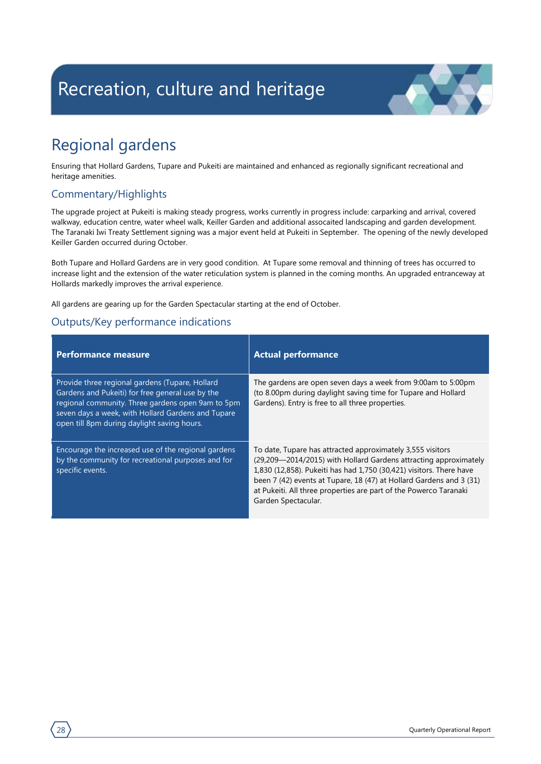# <span id="page-29-0"></span>Recreation, culture and heritage



## Regional gardens

Ensuring that Hollard Gardens, Tupare and Pukeiti are maintained and enhanced as regionally significant recreational and heritage amenities.

#### Commentary/Highlights

The upgrade project at Pukeiti is making steady progress, works currently in progress include: carparking and arrival, covered walkway, education centre, water wheel walk, Keiller Garden and additional assocaited landscaping and garden development. The Taranaki Iwi Treaty Settlement signing was a major event held at Pukeiti in September. The opening of the newly developed Keiller Garden occurred during October.

Both Tupare and Hollard Gardens are in very good condition. At Tupare some removal and thinning of trees has occurred to increase light and the extension of the water reticulation system is planned in the coming months. An upgraded entranceway at Hollards markedly improves the arrival experience.

All gardens are gearing up for the Garden Spectacular starting at the end of October.

| <b>Performance measure</b>                                                                                                                                                                                                                                    | <b>Actual performance</b>                                                                                                                                                                                                                                                                                                                                                |
|---------------------------------------------------------------------------------------------------------------------------------------------------------------------------------------------------------------------------------------------------------------|--------------------------------------------------------------------------------------------------------------------------------------------------------------------------------------------------------------------------------------------------------------------------------------------------------------------------------------------------------------------------|
| Provide three regional gardens (Tupare, Hollard<br>Gardens and Pukeiti) for free general use by the<br>regional community. Three gardens open 9am to 5pm<br>seven days a week, with Hollard Gardens and Tupare<br>open till 8pm during daylight saving hours. | The gardens are open seven days a week from 9:00am to 5:00pm<br>(to 8.00pm during daylight saving time for Tupare and Hollard<br>Gardens). Entry is free to all three properties.                                                                                                                                                                                        |
| Encourage the increased use of the regional gardens<br>by the community for recreational purposes and for<br>specific events.                                                                                                                                 | To date, Tupare has attracted approximately 3,555 visitors<br>(29,209—2014/2015) with Hollard Gardens attracting approximately<br>1,830 (12,858). Pukeiti has had 1,750 (30,421) visitors. There have<br>been 7 (42) events at Tupare, 18 (47) at Hollard Gardens and 3 (31)<br>at Pukeiti. All three properties are part of the Powerco Taranaki<br>Garden Spectacular. |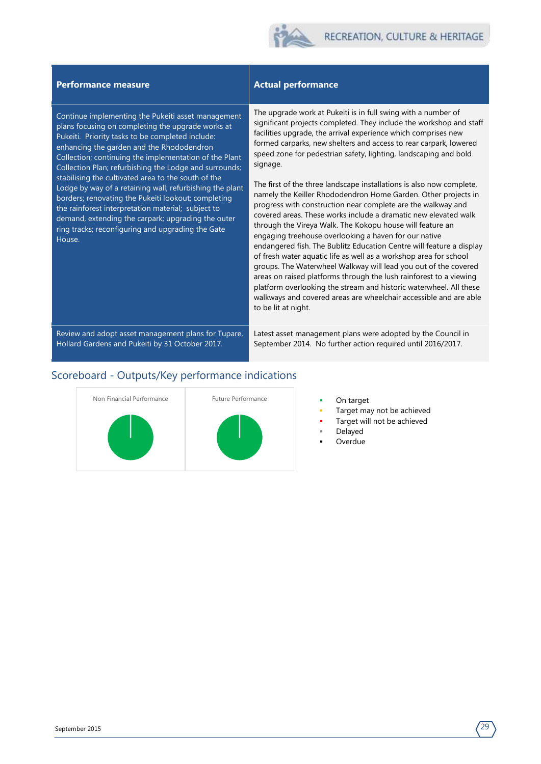#### **Performance measure Actual performance**

Continue implementing the Pukeiti asset management plans focusing on completing the upgrade works at Pukeiti. Priority tasks to be completed include: enhancing the garden and the Rhododendron Collection; continuing the implementation of the Plant Collection Plan; refurbishing the Lodge and surrounds; stabilising the cultivated area to the south of the Lodge by way of a retaining wall; refurbishing the plant borders; renovating the Pukeiti lookout; completing the rainforest interpretation material; subject to demand, extending the carpark; upgrading the outer ring tracks; reconfiguring and upgrading the Gate House.

The upgrade work at Pukeiti is in full swing with a number of significant projects completed. They include the workshop and staff facilities upgrade, the arrival experience which comprises new formed carparks, new shelters and access to rear carpark, lowered speed zone for pedestrian safety, lighting, landscaping and bold signage.

The first of the three landscape installations is also now complete, namely the Keiller Rhododendron Home Garden. Other projects in progress with construction near complete are the walkway and covered areas. These works include a dramatic new elevated walk through the Vireya Walk. The Kokopu house will feature an engaging treehouse overlooking a haven for our native endangered fish. The Bublitz Education Centre will feature a display of fresh water aquatic life as well as a workshop area for school groups. The Waterwheel Walkway will lead you out of the covered areas on raised platforms through the lush rainforest to a viewing platform overlooking the stream and historic waterwheel. All these walkways and covered areas are wheelchair accessible and are able to be lit at night.

Review and adopt asset management plans for Tupare, Latest asset management plans were adopted by the Council in September 2014. No further action required until 2016/2017.

#### Scoreboard - Outputs/Key performance indications

Hollard Gardens and Pukeiti by 31 October 2017.



- 
- Target may not be achieved
- Target will not be achieved
- Delayed
- **Overdue**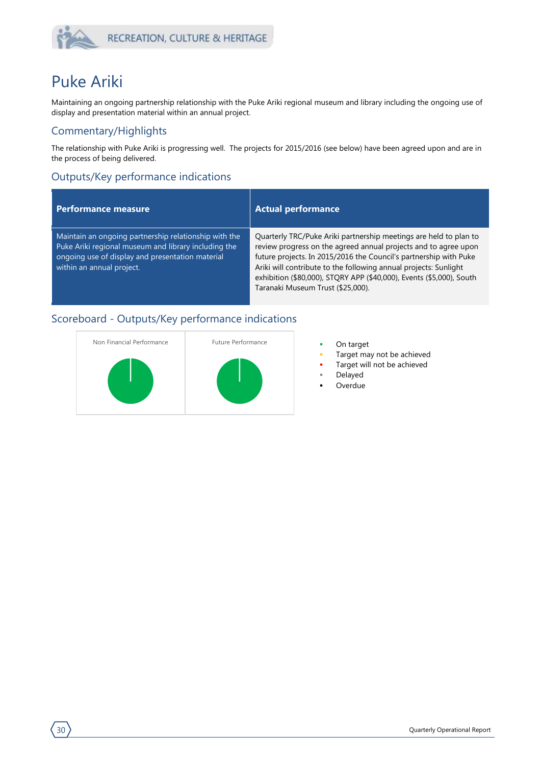

### Puke Ariki

Maintaining an ongoing partnership relationship with the Puke Ariki regional museum and library including the ongoing use of display and presentation material within an annual project.

#### Commentary/Highlights

The relationship with Puke Ariki is progressing well. The projects for 2015/2016 (see below) have been agreed upon and are in the process of being delivered.

#### Outputs/Key performance indications

#### **Performance measure Actual performance**

Maintain an ongoing partnership relationship with the Puke Ariki regional museum and library including the ongoing use of display and presentation material within an annual project.

Quarterly TRC/Puke Ariki partnership meetings are held to plan to review progress on the agreed annual projects and to agree upon future projects. In 2015/2016 the Council's partnership with Puke Ariki will contribute to the following annual projects: Sunlight exhibition (\$80,000), STQRY APP (\$40,000), Events (\$5,000), South Taranaki Museum Trust (\$25,000).



- 
- Target may not be achieved
- Target will not be achieved
- Delayed
- Overdue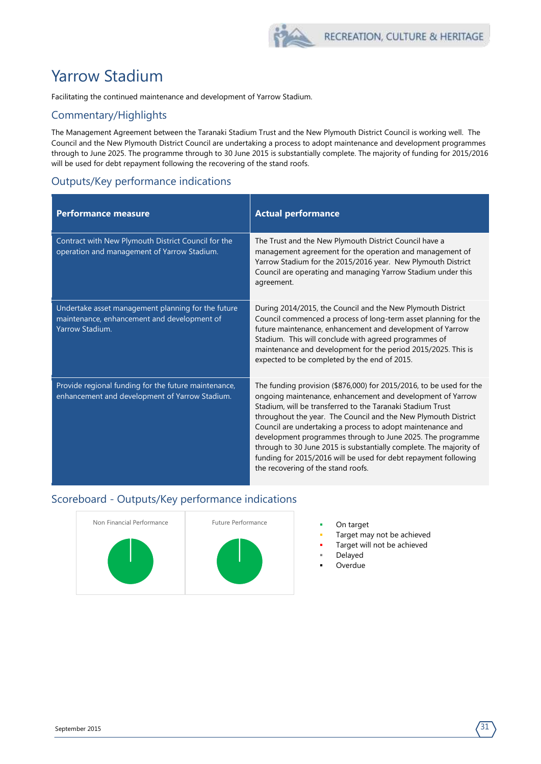## Yarrow Stadium

Facilitating the continued maintenance and development of Yarrow Stadium.

#### Commentary/Highlights

The Management Agreement between the Taranaki Stadium Trust and the New Plymouth District Council is working well. The Council and the New Plymouth District Council are undertaking a process to adopt maintenance and development programmes through to June 2025. The programme through to 30 June 2015 is substantially complete. The majority of funding for 2015/2016 will be used for debt repayment following the recovering of the stand roofs.

### Outputs/Key performance indications

| <b>Performance measure</b>                                                                                           | <b>Actual performance</b>                                                                                                                                                                                                                                                                                                                                                                                                                                                                                                                                                    |
|----------------------------------------------------------------------------------------------------------------------|------------------------------------------------------------------------------------------------------------------------------------------------------------------------------------------------------------------------------------------------------------------------------------------------------------------------------------------------------------------------------------------------------------------------------------------------------------------------------------------------------------------------------------------------------------------------------|
| Contract with New Plymouth District Council for the<br>operation and management of Yarrow Stadium.                   | The Trust and the New Plymouth District Council have a<br>management agreement for the operation and management of<br>Yarrow Stadium for the 2015/2016 year. New Plymouth District<br>Council are operating and managing Yarrow Stadium under this<br>agreement.                                                                                                                                                                                                                                                                                                             |
| Undertake asset management planning for the future<br>maintenance, enhancement and development of<br>Yarrow Stadium. | During 2014/2015, the Council and the New Plymouth District<br>Council commenced a process of long-term asset planning for the<br>future maintenance, enhancement and development of Yarrow<br>Stadium. This will conclude with agreed programmes of<br>maintenance and development for the period 2015/2025. This is<br>expected to be completed by the end of 2015.                                                                                                                                                                                                        |
| Provide regional funding for the future maintenance,<br>enhancement and development of Yarrow Stadium.               | The funding provision (\$876,000) for 2015/2016, to be used for the<br>ongoing maintenance, enhancement and development of Yarrow<br>Stadium, will be transferred to the Taranaki Stadium Trust<br>throughout the year. The Council and the New Plymouth District<br>Council are undertaking a process to adopt maintenance and<br>development programmes through to June 2025. The programme<br>through to 30 June 2015 is substantially complete. The majority of<br>funding for 2015/2016 will be used for debt repayment following<br>the recovering of the stand roofs. |



- 
- Target may not be achieved
- Target will not be achieved
- Delayed Overdue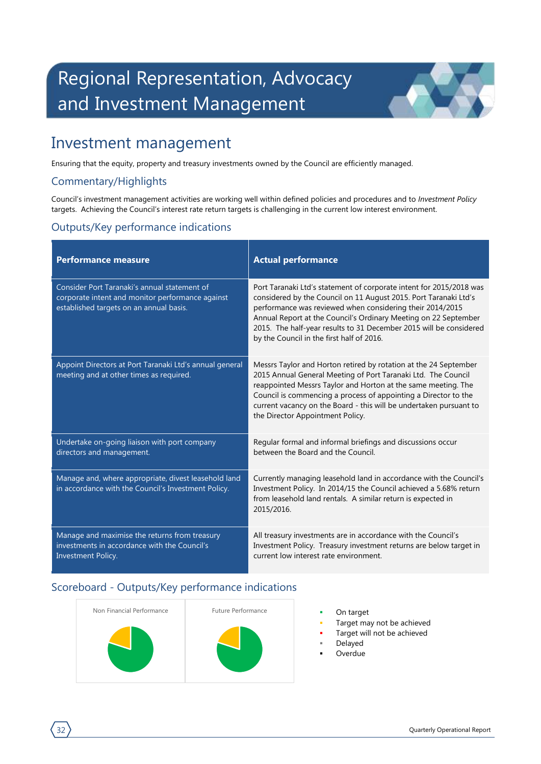# <span id="page-33-0"></span>Regional Representation, Advocacy and Investment Management



### Investment management

Ensuring that the equity, property and treasury investments owned by the Council are efficiently managed.

#### Commentary/Highlights

Council's investment management activities are working well within defined policies and procedures and to *Investment Policy* targets. Achieving the Council's interest rate return targets is challenging in the current low interest environment.

#### Outputs/Key performance indications

| <b>Performance measure</b>                                                                                                                  | <b>Actual performance</b>                                                                                                                                                                                                                                                                                                                                                                  |
|---------------------------------------------------------------------------------------------------------------------------------------------|--------------------------------------------------------------------------------------------------------------------------------------------------------------------------------------------------------------------------------------------------------------------------------------------------------------------------------------------------------------------------------------------|
| Consider Port Taranaki's annual statement of<br>corporate intent and monitor performance against<br>established targets on an annual basis. | Port Taranaki Ltd's statement of corporate intent for 2015/2018 was<br>considered by the Council on 11 August 2015. Port Taranaki Ltd's<br>performance was reviewed when considering their 2014/2015<br>Annual Report at the Council's Ordinary Meeting on 22 September<br>2015. The half-year results to 31 December 2015 will be considered<br>by the Council in the first half of 2016. |
| Appoint Directors at Port Taranaki Ltd's annual general<br>meeting and at other times as required.                                          | Messrs Taylor and Horton retired by rotation at the 24 September<br>2015 Annual General Meeting of Port Taranaki Ltd. The Council<br>reappointed Messrs Taylor and Horton at the same meeting. The<br>Council is commencing a process of appointing a Director to the<br>current vacancy on the Board - this will be undertaken pursuant to<br>the Director Appointment Policy.            |
| Undertake on-going liaison with port company<br>directors and management.                                                                   | Regular formal and informal briefings and discussions occur<br>between the Board and the Council.                                                                                                                                                                                                                                                                                          |
| Manage and, where appropriate, divest leasehold land<br>in accordance with the Council's Investment Policy.                                 | Currently managing leasehold land in accordance with the Council's<br>Investment Policy. In 2014/15 the Council achieved a 5.68% return<br>from leasehold land rentals. A similar return is expected in<br>2015/2016.                                                                                                                                                                      |
| Manage and maximise the returns from treasury<br>investments in accordance with the Council's<br>Investment Policy.                         | All treasury investments are in accordance with the Council's<br>Investment Policy. Treasury investment returns are below target in<br>current low interest rate environment.                                                                                                                                                                                                              |



- 
- Target may not be achieved
- Target will not be achieved
- Delayed
- Overdue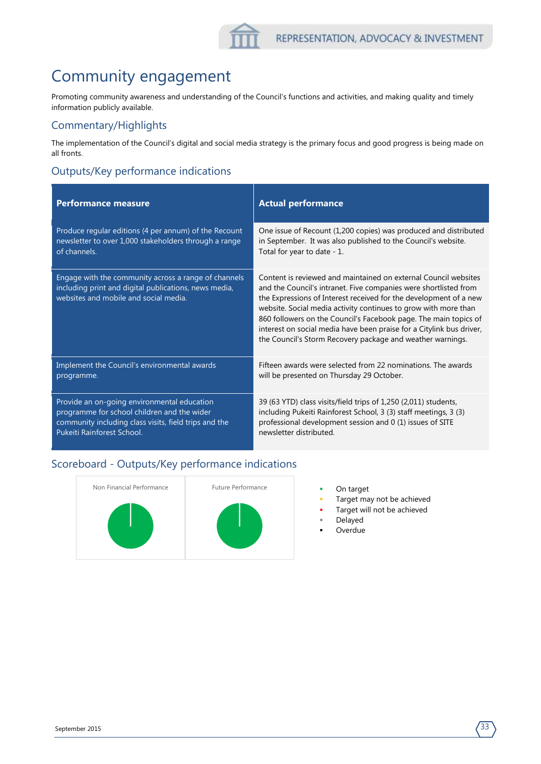## Community engagement

Promoting community awareness and understanding of the Council's functions and activities, and making quality and timely information publicly available.

#### Commentary/Highlights

The implementation of the Council's digital and social media strategy is the primary focus and good progress is being made on all fronts.

### Outputs/Key performance indications

| <b>Performance measure</b>                                                                                                                             | <b>Actual performance</b>                                                                                                                                                                                                                                                                                                                                                                                                                                                             |
|--------------------------------------------------------------------------------------------------------------------------------------------------------|---------------------------------------------------------------------------------------------------------------------------------------------------------------------------------------------------------------------------------------------------------------------------------------------------------------------------------------------------------------------------------------------------------------------------------------------------------------------------------------|
| Produce regular editions (4 per annum) of the Recount                                                                                                  | One issue of Recount (1,200 copies) was produced and distributed                                                                                                                                                                                                                                                                                                                                                                                                                      |
| newsletter to over 1,000 stakeholders through a range                                                                                                  | in September. It was also published to the Council's website.                                                                                                                                                                                                                                                                                                                                                                                                                         |
| of channels.                                                                                                                                           | Total for year to date - 1.                                                                                                                                                                                                                                                                                                                                                                                                                                                           |
| Engage with the community across a range of channels<br>including print and digital publications, news media,<br>websites and mobile and social media. | Content is reviewed and maintained on external Council websites<br>and the Council's intranet. Five companies were shortlisted from<br>the Expressions of Interest received for the development of a new<br>website. Social media activity continues to grow with more than<br>860 followers on the Council's Facebook page. The main topics of<br>interest on social media have been praise for a Citylink bus driver,<br>the Council's Storm Recovery package and weather warnings. |
| Implement the Council's environmental awards                                                                                                           | Fifteen awards were selected from 22 nominations. The awards                                                                                                                                                                                                                                                                                                                                                                                                                          |
| programme.                                                                                                                                             | will be presented on Thursday 29 October.                                                                                                                                                                                                                                                                                                                                                                                                                                             |
| Provide an on-going environmental education                                                                                                            | 39 (63 YTD) class visits/field trips of 1,250 (2,011) students,                                                                                                                                                                                                                                                                                                                                                                                                                       |
| programme for school children and the wider                                                                                                            | including Pukeiti Rainforest School, 3 (3) staff meetings, 3 (3)                                                                                                                                                                                                                                                                                                                                                                                                                      |
| community including class visits, field trips and the                                                                                                  | professional development session and 0 (1) issues of SITE                                                                                                                                                                                                                                                                                                                                                                                                                             |
| Pukeiti Rainforest School.                                                                                                                             | newsletter distributed.                                                                                                                                                                                                                                                                                                                                                                                                                                                               |



- 
- Target may not be achieved
- Target will not be achieved
- Delayed
- **Overdue**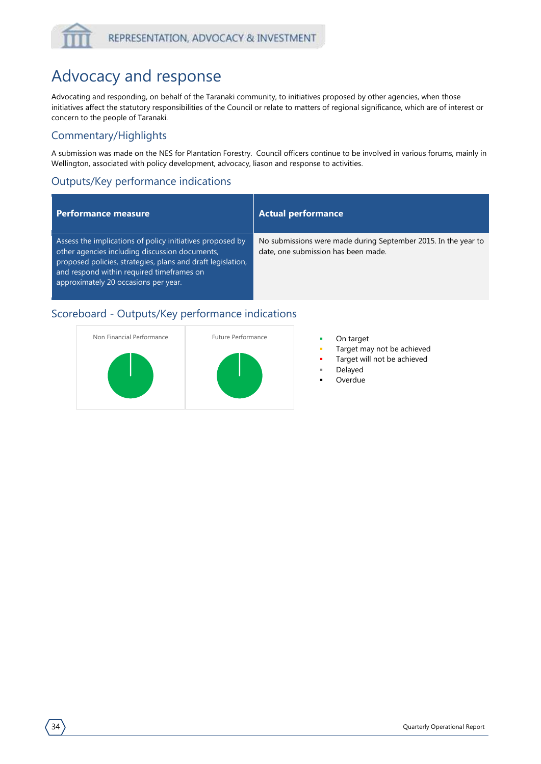## Advocacy and response

Advocating and responding, on behalf of the Taranaki community, to initiatives proposed by other agencies, when those initiatives affect the statutory responsibilities of the Council or relate to matters of regional significance, which are of interest or concern to the people of Taranaki.

#### Commentary/Highlights

A submission was made on the NES for Plantation Forestry. Council officers continue to be involved in various forums, mainly in Wellington, associated with policy development, advocacy, liason and response to activities.

### Outputs/Key performance indications

#### **Performance measure Actual performance**

Assess the implications of policy initiatives proposed by other agencies including discussion documents, proposed policies, strategies, plans and draft legislation, and respond within required timeframes on approximately 20 occasions per year.

No submissions were made during September 2015. In the year to date, one submission has been made.



- 
- Target may not be achieved
- Target will not be achieved
- Delayed
- Overdue